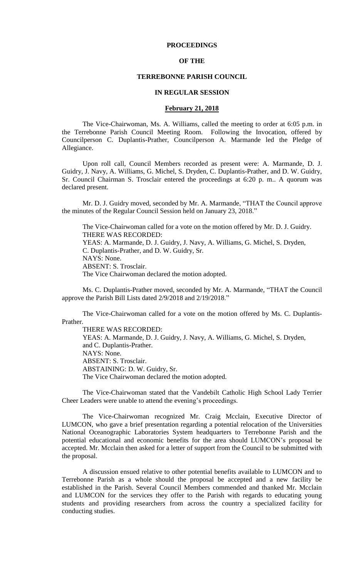# **PROCEEDINGS**

# **OF THE**

#### **TERREBONNE PARISH COUNCIL**

#### **IN REGULAR SESSION**

### **February 21, 2018**

The Vice-Chairwoman, Ms. A. Williams, called the meeting to order at 6:05 p.m. in the Terrebonne Parish Council Meeting Room. Following the Invocation, offered by Councilperson C. Duplantis-Prather, Councilperson A. Marmande led the Pledge of Allegiance.

Upon roll call, Council Members recorded as present were: A. Marmande, D. J. Guidry, J. Navy, A. Williams, G. Michel, S. Dryden, C. Duplantis-Prather, and D. W. Guidry, Sr. Council Chairman S. Trosclair entered the proceedings at 6:20 p. m.. A quorum was declared present.

Mr. D. J. Guidry moved, seconded by Mr. A. Marmande, "THAT the Council approve the minutes of the Regular Council Session held on January 23, 2018."

The Vice-Chairwoman called for a vote on the motion offered by Mr. D. J. Guidry. THERE WAS RECORDED: YEAS: A. Marmande, D. J. Guidry, J. Navy, A. Williams, G. Michel, S. Dryden, C. Duplantis-Prather, and D. W. Guidry, Sr. NAYS: None. ABSENT: S. Trosclair. The Vice Chairwoman declared the motion adopted.

Ms. C. Duplantis-Prather moved, seconded by Mr. A. Marmande, "THAT the Council approve the Parish Bill Lists dated 2/9/2018 and 2/19/2018."

The Vice-Chairwoman called for a vote on the motion offered by Ms. C. Duplantis-Prather.

THERE WAS RECORDED:

YEAS: A. Marmande, D. J. Guidry, J. Navy, A. Williams, G. Michel, S. Dryden, and C. Duplantis-Prather. NAYS: None. ABSENT: S. Trosclair. ABSTAINING: D. W. Guidry, Sr. The Vice Chairwoman declared the motion adopted.

The Vice-Chairwoman stated that the Vandebilt Catholic High School Lady Terrier Cheer Leaders were unable to attend the evening's proceedings.

The Vice-Chairwoman recognized Mr. Craig Mcclain, Executive Director of LUMCON, who gave a brief presentation regarding a potential relocation of the Universities National Oceanographic Laboratories System headquarters to Terrebonne Parish and the potential educational and economic benefits for the area should LUMCON's proposal be accepted. Mr. Mcclain then asked for a letter of support from the Council to be submitted with the proposal.

A discussion ensued relative to other potential benefits available to LUMCON and to Terrebonne Parish as a whole should the proposal be accepted and a new facility be established in the Parish. Several Council Members commended and thanked Mr. Mcclain and LUMCON for the services they offer to the Parish with regards to educating young students and providing researchers from across the country a specialized facility for conducting studies.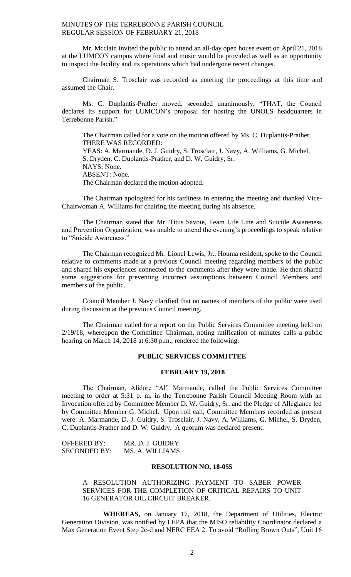Mr. Mcclain invited the public to attend an all-day open house event on April 21, 2018 at the LUMCON campus where food and music would be provided as well as an opportunity to inspect the facility and its operations which had undergone recent changes.

Chairman S. Trosclair was recorded as entering the proceedings at this time and assumed the Chair.

Ms. C. Duplantis-Prather moved, seconded unanimously, "THAT, the Council declares its support for LUMCON's proposal for hosting the UNOLS headquarters in Terrebonne Parish."

The Chairman called for a vote on the motion offered by Ms. C. Duplantis-Prather. THERE WAS RECORDED: YEAS: A. Marmande, D. J. Guidry, S. Trosclair, J. Navy, A. Williams, G. Michel, S. Dryden, C. Duplantis-Prather, and D. W. Guidry, Sr. NAYS: None. ABSENT: None. The Chairman declared the motion adopted.

The Chairman apologized for his tardiness in entering the meeting and thanked Vice-Chairwoman A. Williams for chairing the meeting during his absence.

The Chairman stated that Mr. Titus Savoie, Team Life Line and Suicide Awareness and Prevention Organization, was unable to attend the evening's proceedings to speak relative to "Suicide Awareness."

The Chairman recognized Mr. Lionel Lewis, Jr., Houma resident, spoke to the Council relative to comments made at a previous Council meeting regarding members of the public and shared his experiences connected to the comments after they were made. He then shared some suggestions for preventing incorrect assumptions between Council Members and members of the public.

Council Member J. Navy clarified that no names of members of the public were used during discussion at the previous Council meeting.

The Chairman called for a report on the Public Services Committee meeting held on 2/19/18, whereupon the Committee Chairman, noting ratification of minutes calls a public hearing on March 14, 2018 at 6:30 p.m., rendered the following:

# **PUBLIC SERVICES COMMITTEE**

### **FEBRUARY 19, 2018**

The Chairman, Alidore "Al" Marmande, called the Public Services Committee meeting to order at 5:31 p. m. in the Terrebonne Parish Council Meeting Room with an Invocation offered by Committee Member D. W. Guidry, Sr. and the Pledge of Allegiance led by Committee Member G. Michel. Upon roll call, Committee Members recorded as present were: A. Marmande, D. J. Guidry, S. Trosclair, J. Navy, A. Williams, G. Michel, S. Dryden, C. Duplantis-Prather and D. W. Guidry. A quorum was declared present.

| <b>OFFERED BY:</b>  | MR. D. J. GUIDRY |
|---------------------|------------------|
| <b>SECONDED BY:</b> | MS. A. WILLIAMS  |

# **RESOLUTION NO. 18-055**

# A RESOLUTION AUTHORIZING PAYMENT TO SABER POWER SERVICES FOR THE COMPLETION OF CRITICAL REPAIRS TO UNIT 16 GENERATOR OIL CIRCUIT BREAKER.

**WHEREAS,** on January 17, 2018, the Department of Utilities, Electric Generation Division, was notified by LEPA that the MISO reliability Coordinator declared a Max Generation Event Step 2c-d and NERC EEA 2. To avoid "Rolling Brown Outs", Unit 16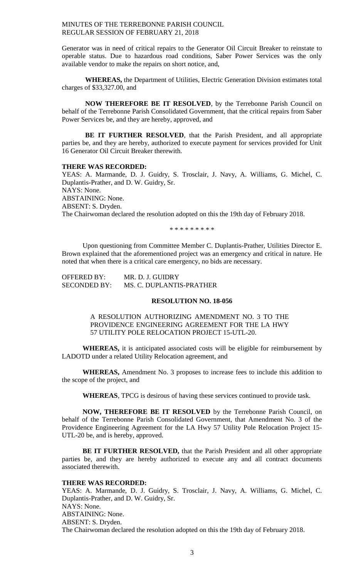Generator was in need of critical repairs to the Generator Oil Circuit Breaker to reinstate to operable status. Due to hazardous road conditions, Saber Power Services was the only available vendor to make the repairs on short notice, and,

**WHEREAS,** the Department of Utilities, Electric Generation Division estimates total charges of \$33,327.00, and

**NOW THEREFORE BE IT RESOLVED**, by the Terrebonne Parish Council on behalf of the Terrebonne Parish Consolidated Government, that the critical repairs from Saber Power Services be, and they are hereby, approved, and

**BE IT FURTHER RESOLVED**, that the Parish President, and all appropriate parties be, and they are hereby, authorized to execute payment for services provided for Unit 16 Generator Oil Circuit Breaker therewith.

### **THERE WAS RECORDED:**

YEAS: A. Marmande, D. J. Guidry, S. Trosclair, J. Navy, A. Williams, G. Michel, C. Duplantis-Prather, and D. W. Guidry, Sr. NAYS: None. ABSTAINING: None. ABSENT: S. Dryden. The Chairwoman declared the resolution adopted on this the 19th day of February 2018.

\* \* \* \* \* \* \* \* \*

Upon questioning from Committee Member C. Duplantis-Prather, Utilities Director E. Brown explained that the aforementioned project was an emergency and critical in nature. He noted that when there is a critical care emergency, no bids are necessary.

| <b>OFFERED BY:</b>  | MR. D. J. GUIDRY         |
|---------------------|--------------------------|
| <b>SECONDED BY:</b> | MS. C. DUPLANTIS-PRATHER |

# **RESOLUTION NO. 18-056**

A RESOLUTION AUTHORIZING AMENDMENT NO. 3 TO THE PROVIDENCE ENGINEERING AGREEMENT FOR THE LA HWY 57 UTILITY POLE RELOCATION PROJECT 15-UTL-20.

**WHEREAS,** it is anticipated associated costs will be eligible for reimbursement by LADOTD under a related Utility Relocation agreement, and

**WHEREAS,** Amendment No. 3 proposes to increase fees to include this addition to the scope of the project, and

**WHEREAS**, TPCG is desirous of having these services continued to provide task.

**NOW, THEREFORE BE IT RESOLVED** by the Terrebonne Parish Council, on behalf of the Terrebonne Parish Consolidated Government, that Amendment No. 3 of the Providence Engineering Agreement for the LA Hwy 57 Utility Pole Relocation Project 15- UTL-20 be, and is hereby, approved.

**BE IT FURTHER RESOLVED,** that the Parish President and all other appropriate parties be, and they are hereby authorized to execute any and all contract documents associated therewith.

# **THERE WAS RECORDED:**

YEAS: A. Marmande, D. J. Guidry, S. Trosclair, J. Navy, A. Williams, G. Michel, C. Duplantis-Prather, and D. W. Guidry, Sr. NAYS: None. ABSTAINING: None. ABSENT: S. Dryden. The Chairwoman declared the resolution adopted on this the 19th day of February 2018.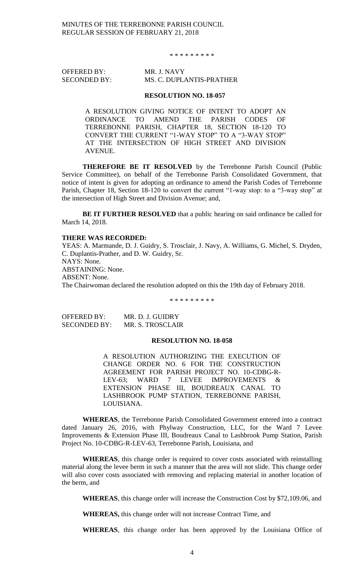\* \* \* \* \* \* \* \* \*

OFFERED BY: MR. J. NAVY

# SECONDED BY: MS. C. DUPLANTIS-PRATHER

#### **RESOLUTION NO. 18-057**

A RESOLUTION GIVING NOTICE OF INTENT TO ADOPT AN ORDINANCE TO AMEND THE PARISH CODES OF TERREBONNE PARISH, CHAPTER 18, SECTION 18-120 TO CONVERT THE CURRENT "1-WAY STOP" TO A "3-WAY STOP" AT THE INTERSECTION OF HIGH STREET AND DIVISION AVENUE.

**THEREFORE BE IT RESOLVED** by the Terrebonne Parish Council (Public Service Committee), on behalf of the Terrebonne Parish Consolidated Government, that notice of intent is given for adopting an ordinance to amend the Parish Codes of Terrebonne Parish, Chapter 18, Section 18-120 to convert the current "1-way stop: to a "3-way stop" at the intersection of High Street and Division Avenue; and,

**BE IT FURTHER RESOLVED** that a public hearing on said ordinance be called for March 14, 2018.

# **THERE WAS RECORDED:**

YEAS: A. Marmande, D. J. Guidry, S. Trosclair, J. Navy, A. Williams, G. Michel, S. Dryden, C. Duplantis-Prather, and D. W. Guidry, Sr. NAYS: None. ABSTAINING: None. ABSENT: None. The Chairwoman declared the resolution adopted on this the 19th day of February 2018.

\* \* \* \* \* \* \* \* \*

| OFFERED BY:         | MR. D. J. GUIDRY |
|---------------------|------------------|
| <b>SECONDED BY:</b> | MR. S. TROSCLAIR |

# **RESOLUTION NO. 18-058**

A RESOLUTION AUTHORIZING THE EXECUTION OF CHANGE ORDER NO. 6 FOR THE CONSTRUCTION AGREEMENT FOR PARISH PROJECT NO. 10-CDBG-R-LEV-63; WARD 7 LEVEE IMPROVEMENTS & EXTENSION PHASE III, BOUDREAUX CANAL TO LASHBROOK PUMP STATION, TERREBONNE PARISH, LOUISIANA.

**WHEREAS**, the Terrebonne Parish Consolidated Government entered into a contract dated January 26, 2016, with Phylway Construction, LLC, for the Ward 7 Levee Improvements & Extension Phase III, Boudreaux Canal to Lashbrook Pump Station, Parish Project No. 10-CDBG-R-LEV-63, Terrebonne Parish, Louisiana, and

**WHEREAS**, this change order is required to cover costs associated with reinstalling material along the levee berm in such a manner that the area will not slide. This change order will also cover costs associated with removing and replacing material in another location of the berm, and

**WHEREAS**, this change order will increase the Construction Cost by \$72,109.06, and

**WHEREAS,** this change order will not increase Contract Time, and

**WHEREAS**, this change order has been approved by the Louisiana Office of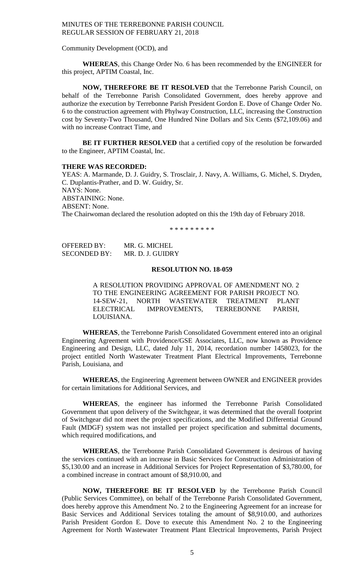#### Community Development (OCD), and

**WHEREAS**, this Change Order No. 6 has been recommended by the ENGINEER for this project, APTIM Coastal, Inc.

**NOW, THEREFORE BE IT RESOLVED** that the Terrebonne Parish Council, on behalf of the Terrebonne Parish Consolidated Government, does hereby approve and authorize the execution by Terrebonne Parish President Gordon E. Dove of Change Order No. 6 to the construction agreement with Phylway Construction, LLC, increasing the Construction cost by Seventy-Two Thousand, One Hundred Nine Dollars and Six Cents (\$72,109.06) and with no increase Contract Time, and

**BE IT FURTHER RESOLVED** that a certified copy of the resolution be forwarded to the Engineer, APTIM Coastal, Inc.

#### **THERE WAS RECORDED:**

YEAS: A. Marmande, D. J. Guidry, S. Trosclair, J. Navy, A. Williams, G. Michel, S. Dryden, C. Duplantis-Prather, and D. W. Guidry, Sr. NAYS: None. ABSTAINING: None. ABSENT: None. The Chairwoman declared the resolution adopted on this the 19th day of February 2018.

\* \* \* \* \* \* \* \* \*

OFFERED BY: MR. G. MICHEL SECONDED BY: MR. D. J. GUIDRY

### **RESOLUTION NO. 18-059**

A RESOLUTION PROVIDING APPROVAL OF AMENDMENT NO. 2 TO THE ENGINEERING AGREEMENT FOR PARISH PROJECT NO. 14-SEW-21, NORTH WASTEWATER TREATMENT PLANT<br>ELECTRICAL IMPROVEMENTS, TERREBONNE PARISH, IMPROVEMENTS, TERREBONNE PARISH, LOUISIANA.

**WHEREAS**, the Terrebonne Parish Consolidated Government entered into an original Engineering Agreement with Providence/GSE Associates, LLC, now known as Providence Engineering and Design, LLC, dated July 11, 2014, recordation number 1458023, for the project entitled North Wastewater Treatment Plant Electrical Improvements, Terrebonne Parish, Louisiana, and

**WHEREAS**, the Engineering Agreement between OWNER and ENGINEER provides for certain limitations for Additional Services, and

**WHEREAS**, the engineer has informed the Terrebonne Parish Consolidated Government that upon delivery of the Switchgear, it was determined that the overall footprint of Switchgear did not meet the project specifications, and the Modified Differential Ground Fault (MDGF) system was not installed per project specification and submittal documents, which required modifications, and

**WHEREAS**, the Terrebonne Parish Consolidated Government is desirous of having the services continued with an increase in Basic Services for Construction Administration of \$5,130.00 and an increase in Additional Services for Project Representation of \$3,780.00, for a combined increase in contract amount of \$8,910.00, and

**NOW, THEREFORE BE IT RESOLVED** by the Terrebonne Parish Council (Public Services Committee), on behalf of the Terrebonne Parish Consolidated Government, does hereby approve this Amendment No. 2 to the Engineering Agreement for an increase for Basic Services and Additional Services totaling the amount of \$8,910.00, and authorizes Parish President Gordon E. Dove to execute this Amendment No. 2 to the Engineering Agreement for North Wastewater Treatment Plant Electrical Improvements, Parish Project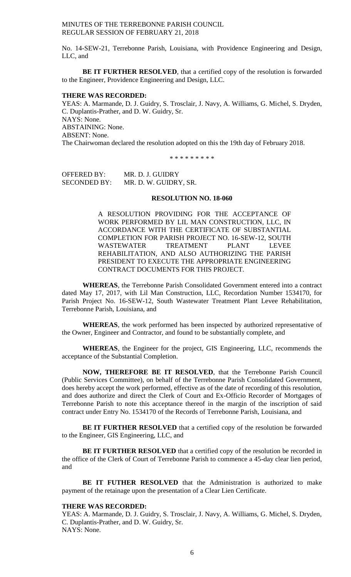No. 14-SEW-21, Terrebonne Parish, Louisiana, with Providence Engineering and Design, LLC, and

**BE IT FURTHER RESOLVED**, that a certified copy of the resolution is forwarded to the Engineer, Providence Engineering and Design, LLC.

#### **THERE WAS RECORDED:**

YEAS: A. Marmande, D. J. Guidry, S. Trosclair, J. Navy, A. Williams, G. Michel, S. Dryden, C. Duplantis-Prather, and D. W. Guidry, Sr. NAYS: None. ABSTAINING: None. ABSENT: None. The Chairwoman declared the resolution adopted on this the 19th day of February 2018.

\* \* \* \* \* \* \* \* \*

OFFERED BY: MR. D. J. GUIDRY SECONDED BY: MR. D. W. GUIDRY, SR.

### **RESOLUTION NO. 18-060**

A RESOLUTION PROVIDING FOR THE ACCEPTANCE OF WORK PERFORMED BY LIL MAN CONSTRUCTION, LLC, IN ACCORDANCE WITH THE CERTIFICATE OF SUBSTANTIAL COMPLETION FOR PARISH PROJECT NO. 16-SEW-12, SOUTH WASTEWATER TREATMENT PLANT LEVEE REHABILITATION, AND ALSO AUTHORIZING THE PARISH PRESIDENT TO EXECUTE THE APPROPRIATE ENGINEERING CONTRACT DOCUMENTS FOR THIS PROJECT.

**WHEREAS**, the Terrebonne Parish Consolidated Government entered into a contract dated May 17, 2017, with Lil Man Construction, LLC, Recordation Number 1534170, for Parish Project No. 16-SEW-12, South Wastewater Treatment Plant Levee Rehabilitation, Terrebonne Parish, Louisiana, and

**WHEREAS**, the work performed has been inspected by authorized representative of the Owner, Engineer and Contractor, and found to be substantially complete, and

**WHEREAS**, the Engineer for the project, GIS Engineering, LLC, recommends the acceptance of the Substantial Completion.

**NOW, THEREFORE BE IT RESOLVED**, that the Terrebonne Parish Council (Public Services Committee), on behalf of the Terrebonne Parish Consolidated Government, does hereby accept the work performed, effective as of the date of recording of this resolution, and does authorize and direct the Clerk of Court and Ex-Officio Recorder of Mortgages of Terrebonne Parish to note this acceptance thereof in the margin of the inscription of said contract under Entry No. 1534170 of the Records of Terrebonne Parish, Louisiana, and

**BE IT FURTHER RESOLVED** that a certified copy of the resolution be forwarded to the Engineer, GIS Engineering, LLC, and

**BE IT FURTHER RESOLVED** that a certified copy of the resolution be recorded in the office of the Clerk of Court of Terrebonne Parish to commence a 45-day clear lien period, and

**BE IT FUTHER RESOLVED** that the Administration is authorized to make payment of the retainage upon the presentation of a Clear Lien Certificate.

# **THERE WAS RECORDED:**

YEAS: A. Marmande, D. J. Guidry, S. Trosclair, J. Navy, A. Williams, G. Michel, S. Dryden, C. Duplantis-Prather, and D. W. Guidry, Sr. NAYS: None.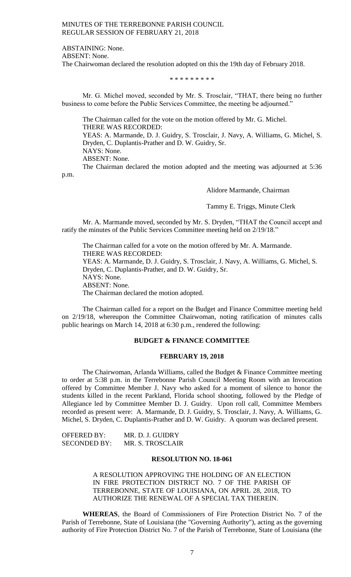ABSTAINING: None.

ABSENT: None.

The Chairwoman declared the resolution adopted on this the 19th day of February 2018.

\* \* \* \* \* \* \* \* \*

Mr. G. Michel moved, seconded by Mr. S. Trosclair, "THAT, there being no further business to come before the Public Services Committee, the meeting be adjourned."

The Chairman called for the vote on the motion offered by Mr. G. Michel. THERE WAS RECORDED: YEAS: A. Marmande, D. J. Guidry, S. Trosclair, J. Navy, A. Williams, G. Michel, S. Dryden, C. Duplantis-Prather and D. W. Guidry, Sr. NAYS: None. ABSENT: None. The Chairman declared the motion adopted and the meeting was adjourned at 5:36

p.m.

Alidore Marmande, Chairman

Tammy E. Triggs, Minute Clerk

Mr. A. Marmande moved, seconded by Mr. S. Dryden, "THAT the Council accept and ratify the minutes of the Public Services Committee meeting held on 2/19/18."

The Chairman called for a vote on the motion offered by Mr. A. Marmande. THERE WAS RECORDED: YEAS: A. Marmande, D. J. Guidry, S. Trosclair, J. Navy, A. Williams, G. Michel, S. Dryden, C. Duplantis-Prather, and D. W. Guidry, Sr. NAYS: None. ABSENT: None. The Chairman declared the motion adopted.

The Chairman called for a report on the Budget and Finance Committee meeting held on 2/19/18, whereupon the Committee Chairwoman, noting ratification of minutes calls public hearings on March 14, 2018 at 6:30 p.m., rendered the following:

# **BUDGET & FINANCE COMMITTEE**

# **FEBRUARY 19, 2018**

The Chairwoman, Arlanda Williams, called the Budget & Finance Committee meeting to order at 5:38 p.m. in the Terrebonne Parish Council Meeting Room with an Invocation offered by Committee Member J. Navy who asked for a moment of silence to honor the students killed in the recent Parkland, Florida school shooting, followed by the Pledge of Allegiance led by Committee Member D. J. Guidry. Upon roll call, Committee Members recorded as present were: A. Marmande, D. J. Guidry, S. Trosclair, J. Navy, A. Williams, G. Michel, S. Dryden, C. Duplantis-Prather and D. W. Guidry. A quorum was declared present.

| <b>OFFERED BY:</b>  | MR. D. J. GUIDRY |
|---------------------|------------------|
| <b>SECONDED BY:</b> | MR. S. TROSCLAIR |

#### **RESOLUTION NO. 18-061**

A RESOLUTION APPROVING THE HOLDING OF AN ELECTION IN FIRE PROTECTION DISTRICT NO. 7 OF THE PARISH OF TERREBONNE, STATE OF LOUISIANA, ON APRIL 28, 2018, TO AUTHORIZE THE RENEWAL OF A SPECIAL TAX THEREIN.

**WHEREAS**, the Board of Commissioners of Fire Protection District No. 7 of the Parish of Terrebonne, State of Louisiana (the "Governing Authority"), acting as the governing authority of Fire Protection District No. 7 of the Parish of Terrebonne, State of Louisiana (the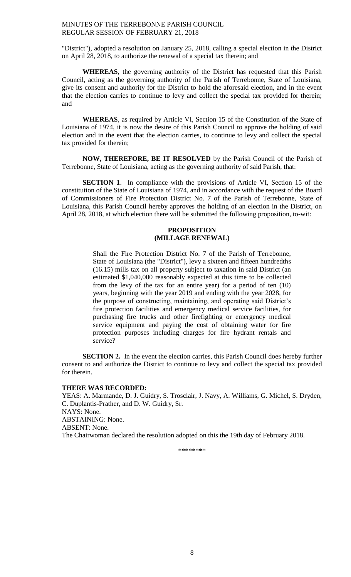"District"), adopted a resolution on January 25, 2018, calling a special election in the District on April 28, 2018, to authorize the renewal of a special tax therein; and

**WHEREAS**, the governing authority of the District has requested that this Parish Council, acting as the governing authority of the Parish of Terrebonne, State of Louisiana, give its consent and authority for the District to hold the aforesaid election, and in the event that the election carries to continue to levy and collect the special tax provided for therein; and

**WHEREAS**, as required by Article VI, Section 15 of the Constitution of the State of Louisiana of 1974, it is now the desire of this Parish Council to approve the holding of said election and in the event that the election carries, to continue to levy and collect the special tax provided for therein;

**NOW, THEREFORE, BE IT RESOLVED** by the Parish Council of the Parish of Terrebonne, State of Louisiana, acting as the governing authority of said Parish, that:

**SECTION 1**. In compliance with the provisions of Article VI, Section 15 of the constitution of the State of Louisiana of 1974, and in accordance with the request of the Board of Commissioners of Fire Protection District No. 7 of the Parish of Terrebonne, State of Louisiana, this Parish Council hereby approves the holding of an election in the District, on April 28, 2018, at which election there will be submitted the following proposition, to-wit:

# **PROPOSITION (MILLAGE RENEWAL)**

Shall the Fire Protection District No. 7 of the Parish of Terrebonne, State of Louisiana (the "District"), levy a sixteen and fifteen hundredths (16.15) mills tax on all property subject to taxation in said District (an estimated \$1,040,000 reasonably expected at this time to be collected from the levy of the tax for an entire year) for a period of ten (10) years, beginning with the year 2019 and ending with the year 2028, for the purpose of constructing, maintaining, and operating said District's fire protection facilities and emergency medical service facilities, for purchasing fire trucks and other firefighting or emergency medical service equipment and paying the cost of obtaining water for fire protection purposes including charges for fire hydrant rentals and service?

**SECTION 2.** In the event the election carries, this Parish Council does hereby further consent to and authorize the District to continue to levy and collect the special tax provided for therein.

### **THERE WAS RECORDED:**

YEAS: A. Marmande, D. J. Guidry, S. Trosclair, J. Navy, A. Williams, G. Michel, S. Dryden, C. Duplantis-Prather, and D. W. Guidry, Sr. NAYS: None. ABSTAINING: None. ABSENT: None. The Chairwoman declared the resolution adopted on this the 19th day of February 2018.

\*\*\*\*\*\*\*\*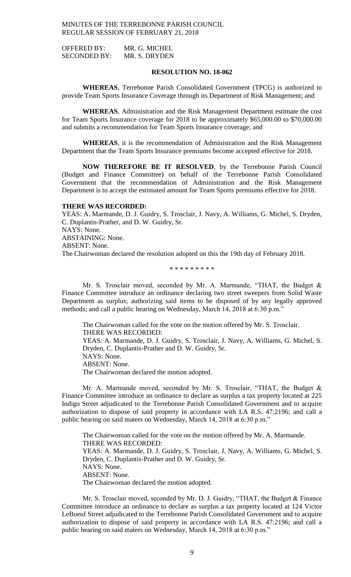OFFERED BY: MR. G. MICHEL SECONDED BY: MR. S. DRYDEN

### **RESOLUTION NO. 18-062**

**WHEREAS**, Terrebonne Parish Consolidated Government (TPCG) is authorized to provide Team Sports Insurance Coverage through its Department of Risk Management; and

**WHEREAS**, Administration and the Risk Management Department estimate the cost for Team Sports Insurance coverage for 2018 to be approximately \$65,000.00 to \$70,000.00 and submits a recommendation for Team Sports Insurance coverage; and

**WHEREAS**, it is the recommendation of Administration and the Risk Management Department that the Team Sports Insurance premiums become accepted effective for 2018.

**NOW THEREFORE BE IT RESOLVED**, by the Terrebonne Parish Council (Budget and Finance Committee) on behalf of the Terrebonne Parish Consolidated Government that the recommendation of Administration and the Risk Management Department is to accept the estimated amount for Team Sports premiums effective for 2018.

# **THERE WAS RECORDED:**

YEAS: A. Marmande, D. J. Guidry, S. Trosclair, J. Navy, A. Williams, G. Michel, S. Dryden, C. Duplantis-Prather, and D. W. Guidry, Sr. NAYS: None. ABSTAINING: None. ABSENT: None. The Chairwoman declared the resolution adopted on this the 19th day of February 2018.

\* \* \* \* \* \* \* \* \*

Mr. S. Trosclair moved, seconded by Mr. A. Marmande, "THAT, the Budget & Finance Committee introduce an ordinance declaring two street sweepers from Solid Waste Department as surplus; authorizing said items to be disposed of by any legally approved methods; and call a public hearing on Wednesday, March 14, 2018 at 6:30 p.m."

The Chairwoman called for the vote on the motion offered by Mr. S. Trosclair. THERE WAS RECORDED: YEAS: A. Marmande, D. J. Guidry, S. Trosclair, J. Navy, A. Williams, G. Michel, S. Dryden, C. Duplantis-Prather and D. W. Guidry, Sr. NAYS: None. ABSENT: None. The Chairwoman declared the motion adopted.

Mr. A. Marmande moved, seconded by Mr. S. Trosclair, "THAT, the Budget & Finance Committee introduce an ordinance to declare as surplus a tax property located at 225 Indigo Street adjudicated to the Terrebonne Parish Consolidated Government and to acquire authorization to dispose of said property in accordance with LA R.S. 47:2196; and call a public hearing on said maters on Wednesday, March 14, 2018 at 6:30 p.m."

The Chairwoman called for the vote on the motion offered by Mr. A. Marmande. THERE WAS RECORDED: YEAS: A. Marmande, D. J. Guidry, S. Trosclair, J. Navy, A. Williams, G. Michel, S. Dryden, C. Duplantis-Prather and D. W. Guidry, Sr. NAYS: None. ABSENT: None. The Chairwoman declared the motion adopted.

Mr. S. Trosclair moved, seconded by Mr. D. J. Guidry, "THAT, the Budget & Finance Committee introduce an ordinance to declare as surplus a tax property located at 124 Victor LeBoeuf Street adjudicated to the Terrebonne Parish Consolidated Government and to acquire authorization to dispose of said property in accordance with LA R.S. 47:2196; and call a public hearing on said maters on Wednesday, March 14, 2018 at 6:30 p.m."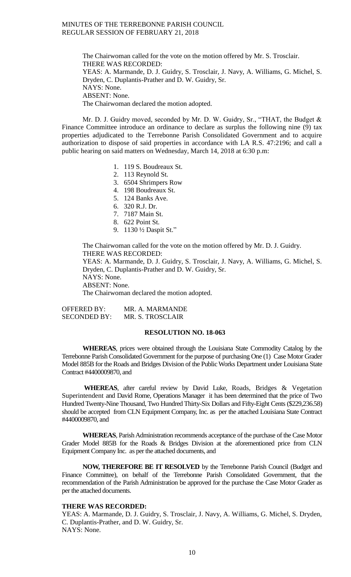The Chairwoman called for the vote on the motion offered by Mr. S. Trosclair. THERE WAS RECORDED: YEAS: A. Marmande, D. J. Guidry, S. Trosclair, J. Navy, A. Williams, G. Michel, S. Dryden, C. Duplantis-Prather and D. W. Guidry, Sr. NAYS: None. ABSENT: None. The Chairwoman declared the motion adopted.

Mr. D. J. Guidry moved, seconded by Mr. D. W. Guidry, Sr., "THAT, the Budget & Finance Committee introduce an ordinance to declare as surplus the following nine (9) tax properties adjudicated to the Terrebonne Parish Consolidated Government and to acquire authorization to dispose of said properties in accordance with LA R.S. 47:2196; and call a public hearing on said matters on Wednesday, March 14, 2018 at 6:30 p.m:

- 1. 119 S. Boudreaux St.
- 2. 113 Reynold St.
- 3. 6504 Shrimpers Row
- 4. 198 Boudreaux St.
- 5. 124 Banks Ave.
- 6. 320 R.J. Dr.
- 7. 7187 Main St.
- 8. 622 Point St.
- 9. 1130 ½ Daspit St."

The Chairwoman called for the vote on the motion offered by Mr. D. J. Guidry. THERE WAS RECORDED: YEAS: A. Marmande, D. J. Guidry, S. Trosclair, J. Navy, A. Williams, G. Michel, S. Dryden, C. Duplantis-Prather and D. W. Guidry, Sr. NAYS: None. ABSENT: None. The Chairwoman declared the motion adopted.

OFFERED BY: MR. A. MARMANDE SECONDED BY: MR. S. TROSCLAIR

# **RESOLUTION NO. 18-063**

**WHEREAS**, prices were obtained through the Louisiana State Commodity Catalog by the Terrebonne Parish Consolidated Government for the purpose of purchasing One (1) Case Motor Grader Model 885B for the Roads and Bridges Division of the Public Works Department under Louisiana State Contract #4400009870, and

**WHEREAS**, after careful review by David Luke, Roads, Bridges & Vegetation Superintendent and David Rome, Operations Manager it has been determined that the price of Two Hundred Twenty-Nine Thousand, Two Hundred Thirty-Six Dollars and Fifty-Eight Cents (\$229,236.58) should be accepted from CLN Equipment Company, Inc. as per the attached Louisiana State Contract #4400009870, and

**WHEREAS**, Parish Administration recommends acceptance of the purchase of the Case Motor Grader Model 885B for the Roads & Bridges Division at the aforementioned price from CLN Equipment Company Inc. as per the attached documents, and

**NOW, THEREFORE BE IT RESOLVED** by the Terrebonne Parish Council (Budget and Finance Committee), on behalf of the Terrebonne Parish Consolidated Government, that the recommendation of the Parish Administration be approved for the purchase the Case Motor Grader as per the attached documents.

# **THERE WAS RECORDED:**

YEAS: A. Marmande, D. J. Guidry, S. Trosclair, J. Navy, A. Williams, G. Michel, S. Dryden, C. Duplantis-Prather, and D. W. Guidry, Sr. NAYS: None.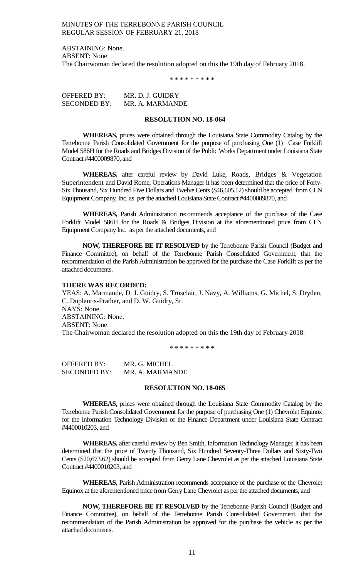ABSTAINING: None. ABSENT: None. The Chairwoman declared the resolution adopted on this the 19th day of February 2018.

\* \* \* \* \* \* \* \* \*

OFFERED BY: MR. D. J. GUIDRY SECONDED BY: MR. A. MARMANDE

### **RESOLUTION NO. 18-064**

**WHEREAS,** prices were obtained through the Louisiana State Commodity Catalog by the Terrebonne Parish Consolidated Government for the purpose of purchasing One (1) Case Forklift Model 586H for the Roads and Bridges Division of the Public Works Department under Louisiana State Contract #4400009870, and

**WHEREAS,** after careful review by David Luke, Roads, Bridges & Vegetation Superintendent and David Rome, Operations Manager it has been determined that the price of Forty-Six Thousand, Six Hundred Five Dollars and Twelve Cents (\$46,605.12) should be accepted from CLN Equipment Company, Inc. as per the attached Louisiana State Contract #4400009870, and

**WHEREAS,** Parish Administration recommends acceptance of the purchase of the Case Forklift Model 586H for the Roads & Bridges Division at the aforementioned price from CLN Equipment Company Inc. as per the attached documents, and

**NOW, THEREFORE BE IT RESOLVED** by the Terrebonne Parish Council (Budget and Finance Committee), on behalf of the Terrebonne Parish Consolidated Government, that the recommendation of the Parish Administration be approved for the purchase the Case Forklift as per the attached documents.

#### **THERE WAS RECORDED:**

YEAS: A. Marmande, D. J. Guidry, S. Trosclair, J. Navy, A. Williams, G. Michel, S. Dryden, C. Duplantis-Prather, and D. W. Guidry, Sr. NAYS: None. ABSTAINING: None. ABSENT: None. The Chairwoman declared the resolution adopted on this the 19th day of February 2018.

\* \* \* \* \* \* \* \* \*

OFFERED BY: MR. G. MICHEL SECONDED BY: MR. A. MARMANDE

#### **RESOLUTION NO. 18-065**

**WHEREAS,** prices were obtained through the Louisiana State Commodity Catalog by the Terrebonne Parish Consolidated Government for the purpose of purchasing One (1) Chevrolet Equinox for the Information Technology Division of the Finance Department under Louisiana State Contract #4400010203, and

**WHEREAS,** after careful review by Ben Smith, Information Technology Manager, it has been determined that the price of Twenty Thousand, Six Hundred Seventy-Three Dollars and Sixty-Two Cents (\$20,673.62) should be accepted from Gerry Lane Chevrolet as per the attached Louisiana State Contract #4400010203, and

**WHEREAS,** Parish Administration recommends acceptance of the purchase of the Chevrolet Equinox at the aforementioned price from Gerry Lane Chevrolet as per the attached documents, and

**NOW, THEREFORE BE IT RESOLVED** by the Terrebonne Parish Council (Budget and Finance Committee), on behalf of the Terrebonne Parish Consolidated Government, that the recommendation of the Parish Administration be approved for the purchase the vehicle as per the attached documents.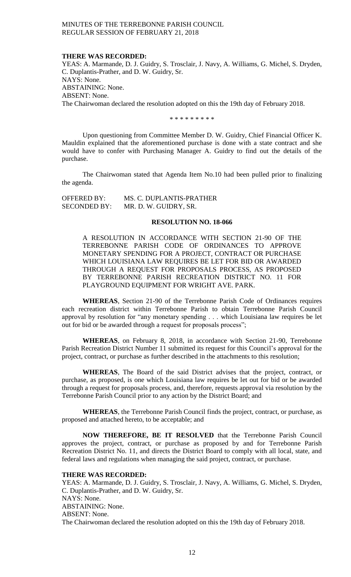#### **THERE WAS RECORDED:**

YEAS: A. Marmande, D. J. Guidry, S. Trosclair, J. Navy, A. Williams, G. Michel, S. Dryden, C. Duplantis-Prather, and D. W. Guidry, Sr. NAYS: None. ABSTAINING: None. ABSENT: None. The Chairwoman declared the resolution adopted on this the 19th day of February 2018.

\* \* \* \* \* \* \* \* \*

Upon questioning from Committee Member D. W. Guidry, Chief Financial Officer K. Mauldin explained that the aforementioned purchase is done with a state contract and she would have to confer with Purchasing Manager A. Guidry to find out the details of the purchase.

The Chairwoman stated that Agenda Item No.10 had been pulled prior to finalizing the agenda.

| OFFERED BY:         | MS. C. DUPLANTIS-PRATHER |
|---------------------|--------------------------|
| <b>SECONDED BY:</b> | MR. D. W. GUIDRY, SR.    |

### **RESOLUTION NO. 18-066**

A RESOLUTION IN ACCORDANCE WITH SECTION 21-90 OF THE TERREBONNE PARISH CODE OF ORDINANCES TO APPROVE MONETARY SPENDING FOR A PROJECT, CONTRACT OR PURCHASE WHICH LOUISIANA LAW REQUIRES BE LET FOR BID OR AWARDED THROUGH A REQUEST FOR PROPOSALS PROCESS, AS PROPOSED BY TERREBONNE PARISH RECREATION DISTRICT NO. 11 FOR PLAYGROUND EQUIPMENT FOR WRIGHT AVE. PARK.

**WHEREAS**, Section 21-90 of the Terrebonne Parish Code of Ordinances requires each recreation district within Terrebonne Parish to obtain Terrebonne Parish Council approval by resolution for "any monetary spending . . . which Louisiana law requires be let out for bid or be awarded through a request for proposals process";

**WHEREAS**, on February 8, 2018, in accordance with Section 21-90, Terrebonne Parish Recreation District Number 11 submitted its request for this Council's approval for the project, contract, or purchase as further described in the attachments to this resolution;

**WHEREAS**, The Board of the said District advises that the project, contract, or purchase, as proposed, is one which Louisiana law requires be let out for bid or be awarded through a request for proposals process, and, therefore, requests approval via resolution by the Terrebonne Parish Council prior to any action by the District Board; and

**WHEREAS**, the Terrebonne Parish Council finds the project, contract, or purchase, as proposed and attached hereto, to be acceptable; and

**NOW THEREFORE, BE IT RESOLVED** that the Terrebonne Parish Council approves the project, contract, or purchase as proposed by and for Terrebonne Parish Recreation District No. 11, and directs the District Board to comply with all local, state, and federal laws and regulations when managing the said project, contract, or purchase.

#### **THERE WAS RECORDED:**

YEAS: A. Marmande, D. J. Guidry, S. Trosclair, J. Navy, A. Williams, G. Michel, S. Dryden, C. Duplantis-Prather, and D. W. Guidry, Sr. NAYS: None. ABSTAINING: None. ABSENT: None. The Chairwoman declared the resolution adopted on this the 19th day of February 2018.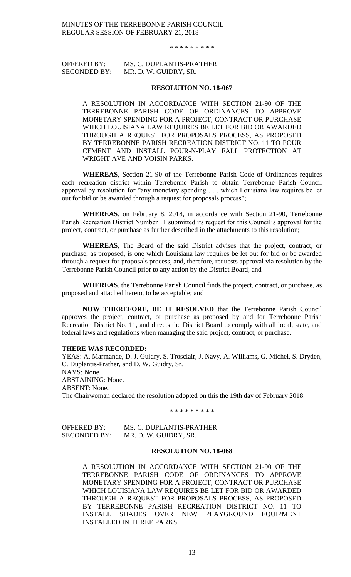\* \* \* \* \* \* \* \* \*

# OFFERED BY: MS. C. DUPLANTIS-PRATHER SECONDED BY: MR. D. W. GUIDRY, SR.

#### **RESOLUTION NO. 18-067**

A RESOLUTION IN ACCORDANCE WITH SECTION 21-90 OF THE TERREBONNE PARISH CODE OF ORDINANCES TO APPROVE MONETARY SPENDING FOR A PROJECT, CONTRACT OR PURCHASE WHICH LOUISIANA LAW REQUIRES BE LET FOR BID OR AWARDED THROUGH A REQUEST FOR PROPOSALS PROCESS, AS PROPOSED BY TERREBONNE PARISH RECREATION DISTRICT NO. 11 TO POUR CEMENT AND INSTALL POUR-N-PLAY FALL PROTECTION AT WRIGHT AVE AND VOISIN PARKS.

**WHEREAS**, Section 21-90 of the Terrebonne Parish Code of Ordinances requires each recreation district within Terrebonne Parish to obtain Terrebonne Parish Council approval by resolution for "any monetary spending . . . which Louisiana law requires be let out for bid or be awarded through a request for proposals process";

**WHEREAS**, on February 8, 2018, in accordance with Section 21-90, Terrebonne Parish Recreation District Number 11 submitted its request for this Council's approval for the project, contract, or purchase as further described in the attachments to this resolution;

**WHEREAS**, The Board of the said District advises that the project, contract, or purchase, as proposed, is one which Louisiana law requires be let out for bid or be awarded through a request for proposals process, and, therefore, requests approval via resolution by the Terrebonne Parish Council prior to any action by the District Board; and

**WHEREAS**, the Terrebonne Parish Council finds the project, contract, or purchase, as proposed and attached hereto, to be acceptable; and

**NOW THEREFORE, BE IT RESOLVED** that the Terrebonne Parish Council approves the project, contract, or purchase as proposed by and for Terrebonne Parish Recreation District No. 11, and directs the District Board to comply with all local, state, and federal laws and regulations when managing the said project, contract, or purchase.

### **THERE WAS RECORDED:**

YEAS: A. Marmande, D. J. Guidry, S. Trosclair, J. Navy, A. Williams, G. Michel, S. Dryden, C. Duplantis-Prather, and D. W. Guidry, Sr. NAYS: None. ABSTAINING: None. ABSENT: None. The Chairwoman declared the resolution adopted on this the 19th day of February 2018.

\* \* \* \* \* \* \* \* \*

OFFERED BY: MS. C. DUPLANTIS-PRATHER SECONDED BY: MR. D. W. GUIDRY, SR.

# **RESOLUTION NO. 18-068**

A RESOLUTION IN ACCORDANCE WITH SECTION 21-90 OF THE TERREBONNE PARISH CODE OF ORDINANCES TO APPROVE MONETARY SPENDING FOR A PROJECT, CONTRACT OR PURCHASE WHICH LOUISIANA LAW REQUIRES BE LET FOR BID OR AWARDED THROUGH A REQUEST FOR PROPOSALS PROCESS, AS PROPOSED BY TERREBONNE PARISH RECREATION DISTRICT NO. 11 TO INSTALL SHADES OVER NEW PLAYGROUND EQUIPMENT INSTALLED IN THREE PARKS.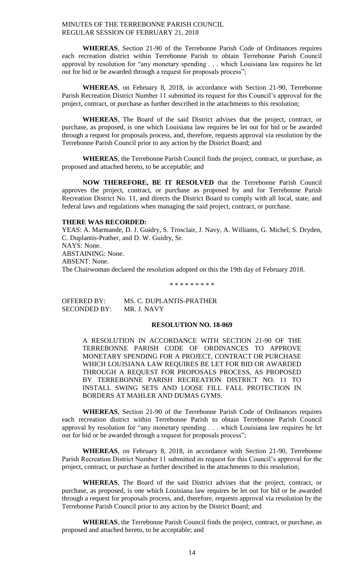**WHEREAS**, Section 21-90 of the Terrebonne Parish Code of Ordinances requires each recreation district within Terrebonne Parish to obtain Terrebonne Parish Council approval by resolution for "any monetary spending . . . which Louisiana law requires be let out for bid or be awarded through a request for proposals process";

**WHEREAS**, on February 8, 2018, in accordance with Section 21-90, Terrebonne Parish Recreation District Number 11 submitted its request for this Council's approval for the project, contract, or purchase as further described in the attachments to this resolution;

**WHEREAS**, The Board of the said District advises that the project, contract, or purchase, as proposed, is one which Louisiana law requires be let out for bid or be awarded through a request for proposals process, and, therefore, requests approval via resolution by the Terrebonne Parish Council prior to any action by the District Board; and

**WHEREAS**, the Terrebonne Parish Council finds the project, contract, or purchase, as proposed and attached hereto, to be acceptable; and

**NOW THEREFORE, BE IT RESOLVED** that the Terrebonne Parish Council approves the project, contract, or purchase as proposed by and for Terrebonne Parish Recreation District No. 11, and directs the District Board to comply with all local, state, and federal laws and regulations when managing the said project, contract, or purchase.

# **THERE WAS RECORDED:**

YEAS: A. Marmande, D. J. Guidry, S. Trosclair, J. Navy, A. Williams, G. Michel, S. Dryden, C. Duplantis-Prather, and D. W. Guidry, Sr. NAYS: None. ABSTAINING: None. ABSENT: None. The Chairwoman declared the resolution adopted on this the 19th day of February 2018.

\* \* \* \* \* \* \* \* \*

OFFERED BY: MS. C. DUPLANTIS-PRATHER SECONDED BY: MR. J. NAVY

# **RESOLUTION NO. 18-069**

A RESOLUTION IN ACCORDANCE WITH SECTION 21-90 OF THE TERREBONNE PARISH CODE OF ORDINANCES TO APPROVE MONETARY SPENDING FOR A PROJECT, CONTRACT OR PURCHASE WHICH LOUISIANA LAW REQUIRES BE LET FOR BID OR AWARDED THROUGH A REQUEST FOR PROPOSALS PROCESS, AS PROPOSED BY TERREBONNE PARISH RECREATION DISTRICT NO. 11 TO INSTALL SWING SETS AND LOOSE FILL FALL PROTECTION IN BORDERS AT MAHLER AND DUMAS GYMS.

**WHEREAS**, Section 21-90 of the Terrebonne Parish Code of Ordinances requires each recreation district within Terrebonne Parish to obtain Terrebonne Parish Council approval by resolution for "any monetary spending . . . which Louisiana law requires be let out for bid or be awarded through a request for proposals process";

**WHEREAS**, on February 8, 2018, in accordance with Section 21-90, Terrebonne Parish Recreation District Number 11 submitted its request for this Council's approval for the project, contract, or purchase as further described in the attachments to this resolution;

**WHEREAS**, The Board of the said District advises that the project, contract, or purchase, as proposed, is one which Louisiana law requires be let out for bid or be awarded through a request for proposals process, and, therefore, requests approval via resolution by the Terrebonne Parish Council prior to any action by the District Board; and

**WHEREAS**, the Terrebonne Parish Council finds the project, contract, or purchase, as proposed and attached hereto, to be acceptable; and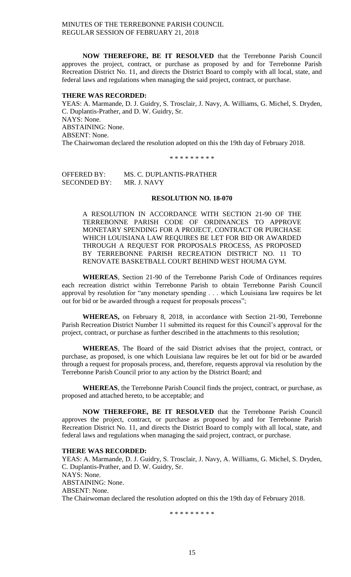**NOW THEREFORE, BE IT RESOLVED** that the Terrebonne Parish Council approves the project, contract, or purchase as proposed by and for Terrebonne Parish Recreation District No. 11, and directs the District Board to comply with all local, state, and federal laws and regulations when managing the said project, contract, or purchase.

#### **THERE WAS RECORDED:**

YEAS: A. Marmande, D. J. Guidry, S. Trosclair, J. Navy, A. Williams, G. Michel, S. Dryden, C. Duplantis-Prather, and D. W. Guidry, Sr. NAYS: None. ABSTAINING: None. ABSENT: None. The Chairwoman declared the resolution adopted on this the 19th day of February 2018.

\* \* \* \* \* \* \* \* \*

OFFERED BY: MS. C. DUPLANTIS-PRATHER SECONDED BY: MR. J. NAVY

# **RESOLUTION NO. 18-070**

A RESOLUTION IN ACCORDANCE WITH SECTION 21-90 OF THE TERREBONNE PARISH CODE OF ORDINANCES TO APPROVE MONETARY SPENDING FOR A PROJECT, CONTRACT OR PURCHASE WHICH LOUISIANA LAW REQUIRES BE LET FOR BID OR AWARDED THROUGH A REQUEST FOR PROPOSALS PROCESS, AS PROPOSED BY TERREBONNE PARISH RECREATION DISTRICT NO. 11 TO RENOVATE BASKETBALL COURT BEHIND WEST HOUMA GYM.

**WHEREAS**, Section 21-90 of the Terrebonne Parish Code of Ordinances requires each recreation district within Terrebonne Parish to obtain Terrebonne Parish Council approval by resolution for "any monetary spending . . . which Louisiana law requires be let out for bid or be awarded through a request for proposals process";

**WHEREAS,** on February 8, 2018, in accordance with Section 21-90, Terrebonne Parish Recreation District Number 11 submitted its request for this Council's approval for the project, contract, or purchase as further described in the attachments to this resolution;

**WHEREAS**, The Board of the said District advises that the project, contract, or purchase, as proposed, is one which Louisiana law requires be let out for bid or be awarded through a request for proposals process, and, therefore, requests approval via resolution by the Terrebonne Parish Council prior to any action by the District Board; and

**WHEREAS**, the Terrebonne Parish Council finds the project, contract, or purchase, as proposed and attached hereto, to be acceptable; and

**NOW THEREFORE, BE IT RESOLVED** that the Terrebonne Parish Council approves the project, contract, or purchase as proposed by and for Terrebonne Parish Recreation District No. 11, and directs the District Board to comply with all local, state, and federal laws and regulations when managing the said project, contract, or purchase.

### **THERE WAS RECORDED:**

YEAS: A. Marmande, D. J. Guidry, S. Trosclair, J. Navy, A. Williams, G. Michel, S. Dryden, C. Duplantis-Prather, and D. W. Guidry, Sr. NAYS: None. ABSTAINING: None. ABSENT: None. The Chairwoman declared the resolution adopted on this the 19th day of February 2018.

\* \* \* \* \* \* \* \* \*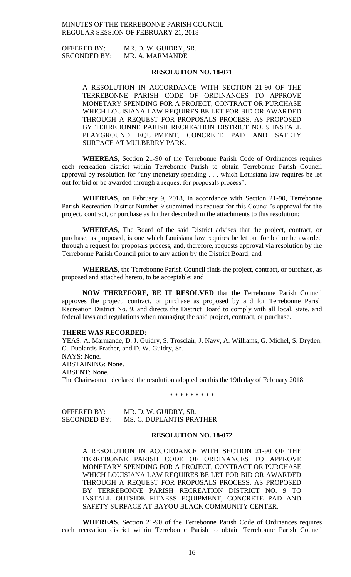OFFERED BY: MR. D. W. GUIDRY, SR. SECONDED BY: MR. A. MARMANDE

### **RESOLUTION NO. 18-071**

A RESOLUTION IN ACCORDANCE WITH SECTION 21-90 OF THE TERREBONNE PARISH CODE OF ORDINANCES TO APPROVE MONETARY SPENDING FOR A PROJECT, CONTRACT OR PURCHASE WHICH LOUISIANA LAW REQUIRES BE LET FOR BID OR AWARDED THROUGH A REQUEST FOR PROPOSALS PROCESS, AS PROPOSED BY TERREBONNE PARISH RECREATION DISTRICT NO. 9 INSTALL PLAYGROUND EQUIPMENT, CONCRETE PAD AND SAFETY SURFACE AT MULBERRY PARK.

**WHEREAS**, Section 21-90 of the Terrebonne Parish Code of Ordinances requires each recreation district within Terrebonne Parish to obtain Terrebonne Parish Council approval by resolution for "any monetary spending . . . which Louisiana law requires be let out for bid or be awarded through a request for proposals process";

**WHEREAS**, on February 9, 2018, in accordance with Section 21-90, Terrebonne Parish Recreation District Number 9 submitted its request for this Council's approval for the project, contract, or purchase as further described in the attachments to this resolution;

**WHEREAS**, The Board of the said District advises that the project, contract, or purchase, as proposed, is one which Louisiana law requires be let out for bid or be awarded through a request for proposals process, and, therefore, requests approval via resolution by the Terrebonne Parish Council prior to any action by the District Board; and

**WHEREAS**, the Terrebonne Parish Council finds the project, contract, or purchase, as proposed and attached hereto, to be acceptable; and

**NOW THEREFORE, BE IT RESOLVED** that the Terrebonne Parish Council approves the project, contract, or purchase as proposed by and for Terrebonne Parish Recreation District No. 9, and directs the District Board to comply with all local, state, and federal laws and regulations when managing the said project, contract, or purchase.

#### **THERE WAS RECORDED:**

YEAS: A. Marmande, D. J. Guidry, S. Trosclair, J. Navy, A. Williams, G. Michel, S. Dryden, C. Duplantis-Prather, and D. W. Guidry, Sr. NAYS: None. ABSTAINING: None. ABSENT: None. The Chairwoman declared the resolution adopted on this the 19th day of February 2018.

\* \* \* \* \* \* \* \* \*

| OFFERED BY:         | MR. D. W. GUIDRY, SR.    |
|---------------------|--------------------------|
| <b>SECONDED BY:</b> | MS. C. DUPLANTIS-PRATHER |

### **RESOLUTION NO. 18-072**

A RESOLUTION IN ACCORDANCE WITH SECTION 21-90 OF THE TERREBONNE PARISH CODE OF ORDINANCES TO APPROVE MONETARY SPENDING FOR A PROJECT, CONTRACT OR PURCHASE WHICH LOUISIANA LAW REQUIRES BE LET FOR BID OR AWARDED THROUGH A REQUEST FOR PROPOSALS PROCESS, AS PROPOSED BY TERREBONNE PARISH RECREATION DISTRICT NO. 9 TO INSTALL OUTSIDE FITNESS EQUIPMENT, CONCRETE PAD AND SAFETY SURFACE AT BAYOU BLACK COMMUNITY CENTER.

**WHEREAS**, Section 21-90 of the Terrebonne Parish Code of Ordinances requires each recreation district within Terrebonne Parish to obtain Terrebonne Parish Council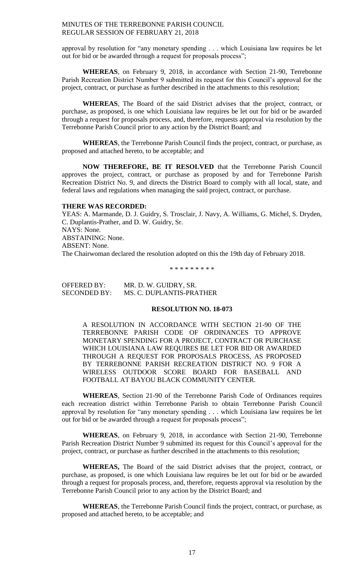approval by resolution for "any monetary spending . . . which Louisiana law requires be let out for bid or be awarded through a request for proposals process";

**WHEREAS**, on February 9, 2018, in accordance with Section 21-90, Terrebonne Parish Recreation District Number 9 submitted its request for this Council's approval for the project, contract, or purchase as further described in the attachments to this resolution;

**WHEREAS**, The Board of the said District advises that the project, contract, or purchase, as proposed, is one which Louisiana law requires be let out for bid or be awarded through a request for proposals process, and, therefore, requests approval via resolution by the Terrebonne Parish Council prior to any action by the District Board; and

**WHEREAS**, the Terrebonne Parish Council finds the project, contract, or purchase, as proposed and attached hereto, to be acceptable; and

**NOW THEREFORE, BE IT RESOLVED** that the Terrebonne Parish Council approves the project, contract, or purchase as proposed by and for Terrebonne Parish Recreation District No. 9, and directs the District Board to comply with all local, state, and federal laws and regulations when managing the said project, contract, or purchase.

# **THERE WAS RECORDED:**

YEAS: A. Marmande, D. J. Guidry, S. Trosclair, J. Navy, A. Williams, G. Michel, S. Dryden, C. Duplantis-Prather, and D. W. Guidry, Sr. NAYS: None. ABSTAINING: None. ABSENT: None. The Chairwoman declared the resolution adopted on this the 19th day of February 2018.

\* \* \* \* \* \* \* \* \*

| OFFERED BY:         | MR. D. W. GUIDRY, SR.    |
|---------------------|--------------------------|
| <b>SECONDED BY:</b> | MS. C. DUPLANTIS-PRATHER |

### **RESOLUTION NO. 18-073**

A RESOLUTION IN ACCORDANCE WITH SECTION 21-90 OF THE TERREBONNE PARISH CODE OF ORDINANCES TO APPROVE MONETARY SPENDING FOR A PROJECT, CONTRACT OR PURCHASE WHICH LOUISIANA LAW REQUIRES BE LET FOR BID OR AWARDED THROUGH A REQUEST FOR PROPOSALS PROCESS, AS PROPOSED BY TERREBONNE PARISH RECREATION DISTRICT NO. 9 FOR A WIRELESS OUTDOOR SCORE BOARD FOR BASEBALL AND FOOTBALL AT BAYOU BLACK COMMUNITY CENTER.

**WHEREAS**, Section 21-90 of the Terrebonne Parish Code of Ordinances requires each recreation district within Terrebonne Parish to obtain Terrebonne Parish Council approval by resolution for "any monetary spending . . . which Louisiana law requires be let out for bid or be awarded through a request for proposals process";

**WHEREAS**, on February 9, 2018, in accordance with Section 21-90, Terrebonne Parish Recreation District Number 9 submitted its request for this Council's approval for the project, contract, or purchase as further described in the attachments to this resolution;

**WHEREAS,** The Board of the said District advises that the project, contract, or purchase, as proposed, is one which Louisiana law requires be let out for bid or be awarded through a request for proposals process, and, therefore, requests approval via resolution by the Terrebonne Parish Council prior to any action by the District Board; and

**WHEREAS**, the Terrebonne Parish Council finds the project, contract, or purchase, as proposed and attached hereto, to be acceptable; and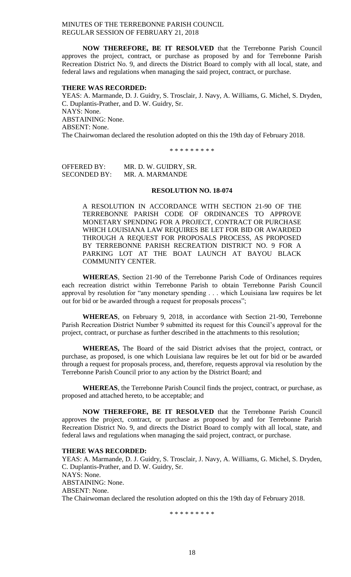**NOW THEREFORE, BE IT RESOLVED** that the Terrebonne Parish Council approves the project, contract, or purchase as proposed by and for Terrebonne Parish Recreation District No. 9, and directs the District Board to comply with all local, state, and federal laws and regulations when managing the said project, contract, or purchase.

#### **THERE WAS RECORDED:**

YEAS: A. Marmande, D. J. Guidry, S. Trosclair, J. Navy, A. Williams, G. Michel, S. Dryden, C. Duplantis-Prather, and D. W. Guidry, Sr. NAYS: None. ABSTAINING: None. ABSENT: None. The Chairwoman declared the resolution adopted on this the 19th day of February 2018.

\* \* \* \* \* \* \* \* \*

OFFERED BY: MR. D. W. GUIDRY, SR. SECONDED BY: MR. A. MARMANDE

### **RESOLUTION NO. 18-074**

A RESOLUTION IN ACCORDANCE WITH SECTION 21-90 OF THE TERREBONNE PARISH CODE OF ORDINANCES TO APPROVE MONETARY SPENDING FOR A PROJECT, CONTRACT OR PURCHASE WHICH LOUISIANA LAW REQUIRES BE LET FOR BID OR AWARDED THROUGH A REQUEST FOR PROPOSALS PROCESS, AS PROPOSED BY TERREBONNE PARISH RECREATION DISTRICT NO. 9 FOR A PARKING LOT AT THE BOAT LAUNCH AT BAYOU BLACK COMMUNITY CENTER.

**WHEREAS**, Section 21-90 of the Terrebonne Parish Code of Ordinances requires each recreation district within Terrebonne Parish to obtain Terrebonne Parish Council approval by resolution for "any monetary spending . . . which Louisiana law requires be let out for bid or be awarded through a request for proposals process";

**WHEREAS**, on February 9, 2018, in accordance with Section 21-90, Terrebonne Parish Recreation District Number 9 submitted its request for this Council's approval for the project, contract, or purchase as further described in the attachments to this resolution;

**WHEREAS,** The Board of the said District advises that the project, contract, or purchase, as proposed, is one which Louisiana law requires be let out for bid or be awarded through a request for proposals process, and, therefore, requests approval via resolution by the Terrebonne Parish Council prior to any action by the District Board; and

**WHEREAS**, the Terrebonne Parish Council finds the project, contract, or purchase, as proposed and attached hereto, to be acceptable; and

**NOW THEREFORE, BE IT RESOLVED** that the Terrebonne Parish Council approves the project, contract, or purchase as proposed by and for Terrebonne Parish Recreation District No. 9, and directs the District Board to comply with all local, state, and federal laws and regulations when managing the said project, contract, or purchase.

### **THERE WAS RECORDED:**

YEAS: A. Marmande, D. J. Guidry, S. Trosclair, J. Navy, A. Williams, G. Michel, S. Dryden, C. Duplantis-Prather, and D. W. Guidry, Sr. NAYS: None. ABSTAINING: None. ABSENT: None. The Chairwoman declared the resolution adopted on this the 19th day of February 2018.

\* \* \* \* \* \* \* \* \*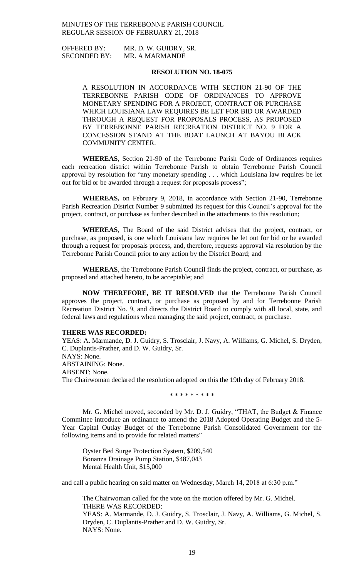OFFERED BY: MR. D. W. GUIDRY, SR. SECONDED BY: MR. A MARMANDE

### **RESOLUTION NO. 18-075**

A RESOLUTION IN ACCORDANCE WITH SECTION 21-90 OF THE TERREBONNE PARISH CODE OF ORDINANCES TO APPROVE MONETARY SPENDING FOR A PROJECT, CONTRACT OR PURCHASE WHICH LOUISIANA LAW REQUIRES BE LET FOR BID OR AWARDED THROUGH A REQUEST FOR PROPOSALS PROCESS, AS PROPOSED BY TERREBONNE PARISH RECREATION DISTRICT NO. 9 FOR A CONCESSION STAND AT THE BOAT LAUNCH AT BAYOU BLACK COMMUNITY CENTER.

**WHEREAS**, Section 21-90 of the Terrebonne Parish Code of Ordinances requires each recreation district within Terrebonne Parish to obtain Terrebonne Parish Council approval by resolution for "any monetary spending . . . which Louisiana law requires be let out for bid or be awarded through a request for proposals process";

**WHEREAS,** on February 9, 2018, in accordance with Section 21-90, Terrebonne Parish Recreation District Number 9 submitted its request for this Council's approval for the project, contract, or purchase as further described in the attachments to this resolution;

**WHEREAS**, The Board of the said District advises that the project, contract, or purchase, as proposed, is one which Louisiana law requires be let out for bid or be awarded through a request for proposals process, and, therefore, requests approval via resolution by the Terrebonne Parish Council prior to any action by the District Board; and

**WHEREAS**, the Terrebonne Parish Council finds the project, contract, or purchase, as proposed and attached hereto, to be acceptable; and

**NOW THEREFORE, BE IT RESOLVED** that the Terrebonne Parish Council approves the project, contract, or purchase as proposed by and for Terrebonne Parish Recreation District No. 9, and directs the District Board to comply with all local, state, and federal laws and regulations when managing the said project, contract, or purchase.

#### **THERE WAS RECORDED:**

YEAS: A. Marmande, D. J. Guidry, S. Trosclair, J. Navy, A. Williams, G. Michel, S. Dryden, C. Duplantis-Prather, and D. W. Guidry, Sr. NAYS: None. ABSTAINING: None. ABSENT: None. The Chairwoman declared the resolution adopted on this the 19th day of February 2018.

\* \* \* \* \* \* \* \* \*

Mr. G. Michel moved, seconded by Mr. D. J. Guidry, "THAT, the Budget & Finance Committee introduce an ordinance to amend the 2018 Adopted Operating Budget and the 5- Year Capital Outlay Budget of the Terrebonne Parish Consolidated Government for the following items and to provide for related matters"

Oyster Bed Surge Protection System, \$209,540 Bonanza Drainage Pump Station, \$487,043 Mental Health Unit, \$15,000

and call a public hearing on said matter on Wednesday, March 14, 2018 at 6:30 p.m."

The Chairwoman called for the vote on the motion offered by Mr. G. Michel. THERE WAS RECORDED: YEAS: A. Marmande, D. J. Guidry, S. Trosclair, J. Navy, A. Williams, G. Michel, S. Dryden, C. Duplantis-Prather and D. W. Guidry, Sr. NAYS: None.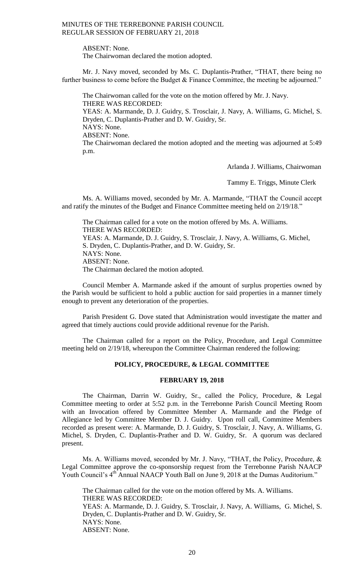ABSENT: None. The Chairwoman declared the motion adopted.

Mr. J. Navy moved, seconded by Ms. C. Duplantis-Prather, "THAT, there being no further business to come before the Budget & Finance Committee, the meeting be adjourned."

The Chairwoman called for the vote on the motion offered by Mr. J. Navy. THERE WAS RECORDED: YEAS: A. Marmande, D. J. Guidry, S. Trosclair, J. Navy, A. Williams, G. Michel, S. Dryden, C. Duplantis-Prather and D. W. Guidry, Sr. NAYS: None. ABSENT: None. The Chairwoman declared the motion adopted and the meeting was adjourned at 5:49 p.m.

Arlanda J. Williams, Chairwoman

Tammy E. Triggs, Minute Clerk

Ms. A. Williams moved, seconded by Mr. A. Marmande, "THAT the Council accept and ratify the minutes of the Budget and Finance Committee meeting held on 2/19/18."

The Chairman called for a vote on the motion offered by Ms. A. Williams. THERE WAS RECORDED: YEAS: A. Marmande, D. J. Guidry, S. Trosclair, J. Navy, A. Williams, G. Michel, S. Dryden, C. Duplantis-Prather, and D. W. Guidry, Sr. NAYS: None. ABSENT: None. The Chairman declared the motion adopted.

Council Member A. Marmande asked if the amount of surplus properties owned by the Parish would be sufficient to hold a public auction for said properties in a manner timely enough to prevent any deterioration of the properties.

Parish President G. Dove stated that Administration would investigate the matter and agreed that timely auctions could provide additional revenue for the Parish.

The Chairman called for a report on the Policy, Procedure, and Legal Committee meeting held on 2/19/18, whereupon the Committee Chairman rendered the following:

# **POLICY, PROCEDURE, & LEGAL COMMITTEE**

#### **FEBRUARY 19, 2018**

The Chairman, Darrin W. Guidry, Sr., called the Policy, Procedure, & Legal Committee meeting to order at 5:52 p.m. in the Terrebonne Parish Council Meeting Room with an Invocation offered by Committee Member A. Marmande and the Pledge of Allegiance led by Committee Member D. J. Guidry. Upon roll call, Committee Members recorded as present were: A. Marmande, D. J. Guidry, S. Trosclair, J. Navy, A. Williams, G. Michel, S. Dryden, C. Duplantis-Prather and D. W. Guidry, Sr. A quorum was declared present.

Ms. A. Williams moved, seconded by Mr. J. Navy, "THAT, the Policy, Procedure, & Legal Committee approve the co-sponsorship request from the Terrebonne Parish NAACP Youth Council's 4<sup>th</sup> Annual NAACP Youth Ball on June 9, 2018 at the Dumas Auditorium."

The Chairman called for the vote on the motion offered by Ms. A. Williams. THERE WAS RECORDED: YEAS: A. Marmande, D. J. Guidry, S. Trosclair, J. Navy, A. Williams, G. Michel, S. Dryden, C. Duplantis-Prather and D. W. Guidry, Sr. NAYS: None. ABSENT: None.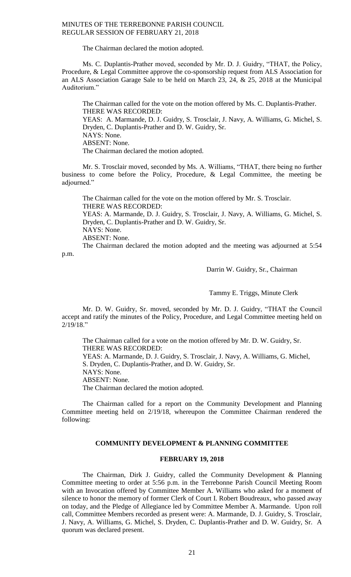The Chairman declared the motion adopted.

Ms. C. Duplantis-Prather moved, seconded by Mr. D. J. Guidry, "THAT, the Policy, Procedure, & Legal Committee approve the co-sponsorship request from ALS Association for an ALS Association Garage Sale to be held on March 23, 24, & 25, 2018 at the Municipal Auditorium."

The Chairman called for the vote on the motion offered by Ms. C. Duplantis-Prather. THERE WAS RECORDED: YEAS: A. Marmande, D. J. Guidry, S. Trosclair, J. Navy, A. Williams, G. Michel, S. Dryden, C. Duplantis-Prather and D. W. Guidry, Sr. NAYS: None. ABSENT: None. The Chairman declared the motion adopted.

Mr. S. Trosclair moved, seconded by Ms. A. Williams, "THAT, there being no further business to come before the Policy, Procedure, & Legal Committee, the meeting be adjourned."

The Chairman called for the vote on the motion offered by Mr. S. Trosclair. THERE WAS RECORDED: YEAS: A. Marmande, D. J. Guidry, S. Trosclair, J. Navy, A. Williams, G. Michel, S. Dryden, C. Duplantis-Prather and D. W. Guidry, Sr. NAYS: None. ABSENT: None.

The Chairman declared the motion adopted and the meeting was adjourned at 5:54 p.m.

Darrin W. Guidry, Sr., Chairman

Tammy E. Triggs, Minute Clerk

Mr. D. W. Guidry, Sr. moved, seconded by Mr. D. J. Guidry, "THAT the Council accept and ratify the minutes of the Policy, Procedure, and Legal Committee meeting held on 2/19/18."

The Chairman called for a vote on the motion offered by Mr. D. W. Guidry, Sr. THERE WAS RECORDED: YEAS: A. Marmande, D. J. Guidry, S. Trosclair, J. Navy, A. Williams, G. Michel, S. Dryden, C. Duplantis-Prather, and D. W. Guidry, Sr. NAYS: None.

ABSENT: None.

The Chairman declared the motion adopted.

The Chairman called for a report on the Community Development and Planning Committee meeting held on 2/19/18, whereupon the Committee Chairman rendered the following:

### **COMMUNITY DEVELOPMENT & PLANNING COMMITTEE**

#### **FEBRUARY 19, 2018**

The Chairman, Dirk J. Guidry, called the Community Development & Planning Committee meeting to order at 5:56 p.m. in the Terrebonne Parish Council Meeting Room with an Invocation offered by Committee Member A. Williams who asked for a moment of silence to honor the memory of former Clerk of Court I. Robert Boudreaux, who passed away on today, and the Pledge of Allegiance led by Committee Member A. Marmande. Upon roll call, Committee Members recorded as present were: A. Marmande, D. J. Guidry, S. Trosclair, J. Navy, A. Williams, G. Michel, S. Dryden, C. Duplantis-Prather and D. W. Guidry, Sr. A quorum was declared present.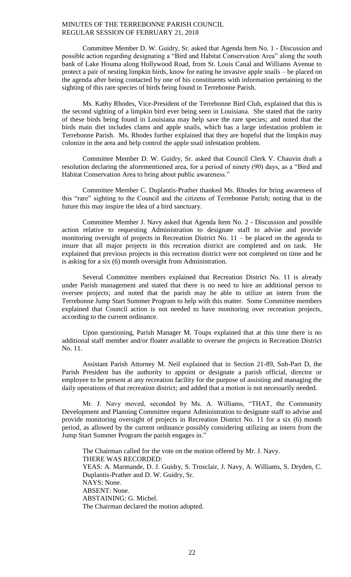Committee Member D. W. Guidry, Sr. asked that Agenda Item No. 1 - Discussion and possible action regarding designating a "Bird and Habitat Conservation Area" along the south bank of Lake Houma along Hollywood Road, from St. Louis Canal and Williams Avenue to protect a pair of nesting limpkin birds, know for eating he invasive apple snails – be placed on the agenda after being contacted by one of his constituents with information pertaining to the sighting of this rare species of birds being found in Terrebonne Parish.

Ms. Kathy Rhodes, Vice-President of the Terrebonne Bird Club, explained that this is the second sighting of a limpkin bird ever being seen in Louisiana. She stated that the rarity of these birds being found in Louisiana may help save the rare species; and noted that the birds main diet includes clams and apple snails, which has a large infestation problem in Terrebonne Parish. Ms. Rhodes further explained that they are hopeful that the limpkin may colonize in the area and help control the apple snail infestation problem.

Committee Member D. W. Guidry, Sr. asked that Council Clerk V. Chauvin draft a resolution declaring the aforementioned area, for a period of ninety (90) days, as a "Bird and Habitat Conservation Area to bring about public awareness."

Committee Member C. Duplantis-Prather thanked Ms. Rhodes for bring awareness of this "rare" sighting to the Council and the citizens of Terrebonne Parish; noting that in the future this may inspire the idea of a bird sanctuary.

Committee Member J. Navy asked that Agenda Item No. 2 - Discussion and possible action relative to requesting Administration to designate staff to advise and provide monitoring oversight of projects in Recreation District No. 11 – be placed on the agenda to insure that all major projects in this recreation district are completed and on task. He explained that previous projects in this recreation district were not completed on time and he is asking for a six (6) month oversight from Administration.

Several Committee members explained that Recreation District No. 11 is already under Parish management and stated that there is no need to hire an additional person to oversee projects; and noted that the parish may be able to utilize an intern from the Terrebonne Jump Start Summer Program to help with this matter. Some Committee members explained that Council action is not needed to have monitoring over recreation projects, according to the current ordinance.

Upon questioning, Parish Manager M. Toups explained that at this time there is no additional staff member and/or floater available to oversee the projects in Recreation District No. 11.

Assistant Parish Attorney M. Neil explained that in Section 21-89, Sub-Part D, the Parish President has the authority to appoint or designate a parish official, director or employee to be present at any recreation facility for the purpose of assisting and managing the daily operations of that recreation district; and added that a motion is not necessarily needed.

Mr. J. Navy moved, seconded by Ms. A. Williams, "THAT, the Community Development and Planning Committee request Administration to designate staff to advise and provide monitoring oversight of projects in Recreation District No. 11 for a six (6) month period, as allowed by the current ordinance possibly considering utilizing an intern from the Jump Start Summer Program the parish engages in."

The Chairman called for the vote on the motion offered by Mr. J. Navy. THERE WAS RECORDED: YEAS: A. Marmande, D. J. Guidry, S. Trosclair, J. Navy, A. Williams, S. Dryden, C. Duplantis-Prather and D. W. Guidry, Sr. NAYS: None. ABSENT: None. ABSTAINING: G. Michel. The Chairman declared the motion adopted.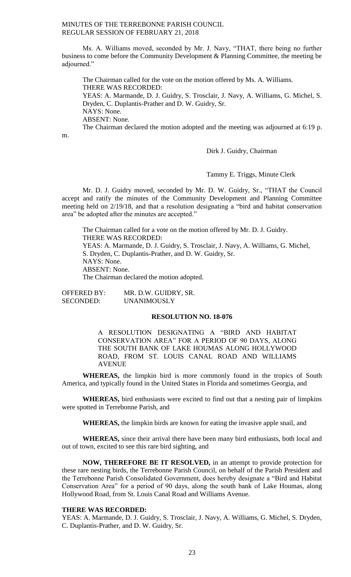Ms. A. Williams moved, seconded by Mr. J. Navy, "THAT, there being no further business to come before the Community Development & Planning Committee, the meeting be adjourned."

The Chairman called for the vote on the motion offered by Ms. A. Williams. THERE WAS RECORDED: YEAS: A. Marmande, D. J. Guidry, S. Trosclair, J. Navy, A. Williams, G. Michel, S. Dryden, C. Duplantis-Prather and D. W. Guidry, Sr. NAYS: None. ABSENT: None.

The Chairman declared the motion adopted and the meeting was adjourned at 6:19 p.

m.

Dirk J. Guidry, Chairman

Tammy E. Triggs, Minute Clerk

Mr. D. J. Guidry moved, seconded by Mr. D. W. Guidry, Sr., "THAT the Council accept and ratify the minutes of the Community Development and Planning Committee meeting held on 2/19/18, and that a resolution designating a "bird and habitat conservation area" be adopted after the minutes are accepted."

The Chairman called for a vote on the motion offered by Mr. D. J. Guidry. THERE WAS RECORDED: YEAS: A. Marmande, D. J. Guidry, S. Trosclair, J. Navy, A. Williams, G. Michel, S. Dryden, C. Duplantis-Prather, and D. W. Guidry, Sr. NAYS: None. ABSENT: None. The Chairman declared the motion adopted.

OFFERED BY: MR. D.W. GUIDRY, SR. SECONDED: UNANIMOUSLY

# **RESOLUTION NO. 18-076**

A RESOLUTION DESIGNATING A "BIRD AND HABITAT CONSERVATION AREA" FOR A PERIOD OF 90 DAYS, ALONG THE SOUTH BANK OF LAKE HOUMAS ALONG HOLLYWOOD ROAD, FROM ST. LOUIS CANAL ROAD AND WILLIAMS AVENUE

**WHEREAS,** the limpkin bird is more commonly found in the tropics of South America, and typically found in the United States in Florida and sometimes Georgia, and

**WHEREAS,** bird enthusiasts were excited to find out that a nesting pair of limpkins were spotted in Terrebonne Parish, and

**WHEREAS,** the limpkin birds are known for eating the invasive apple snail, and

**WHEREAS,** since their arrival there have been many bird enthusiasts, both local and out of town, excited to see this rare bird sighting, and

**NOW, THEREFORE BE IT RESOLVED,** in an attempt to provide protection for these rare nesting birds, the Terrebonne Parish Council, on behalf of the Parish President and the Terrebonne Parish Consolidated Government, does hereby designate a "Bird and Habitat Conservation Area" for a period of 90 days, along the south bank of Lake Houmas, along Hollywood Road, from St. Louis Canal Road and Williams Avenue.

# **THERE WAS RECORDED:**

YEAS: A. Marmande, D. J. Guidry, S. Trosclair, J. Navy, A. Williams, G. Michel, S. Dryden, C. Duplantis-Prather, and D. W. Guidry, Sr.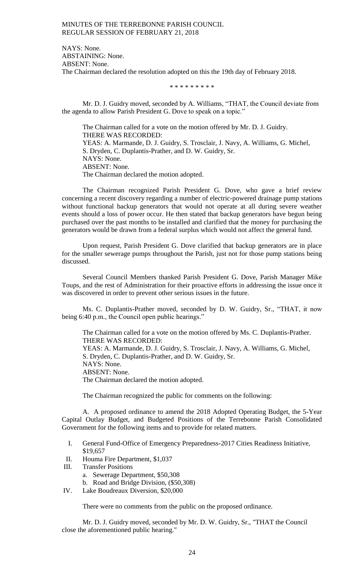NAYS: None. ABSTAINING: None. ABSENT: None. The Chairman declared the resolution adopted on this the 19th day of February 2018.

\* \* \* \* \* \* \* \* \*

Mr. D. J. Guidry moved, seconded by A. Williams, "THAT, the Council deviate from the agenda to allow Parish President G. Dove to speak on a topic."

The Chairman called for a vote on the motion offered by Mr. D. J. Guidry. THERE WAS RECORDED: YEAS: A. Marmande, D. J. Guidry, S. Trosclair, J. Navy, A. Williams, G. Michel, S. Dryden, C. Duplantis-Prather, and D. W. Guidry, Sr. NAYS: None. ABSENT: None. The Chairman declared the motion adopted.

The Chairman recognized Parish President G. Dove, who gave a brief review concerning a recent discovery regarding a number of electric-powered drainage pump stations without functional backup generators that would not operate at all during severe weather events should a loss of power occur. He then stated that backup generators have begun being purchased over the past months to be installed and clarified that the money for purchasing the generators would be drawn from a federal surplus which would not affect the general fund.

Upon request, Parish President G. Dove clarified that backup generators are in place for the smaller sewerage pumps throughout the Parish, just not for those pump stations being discussed.

Several Council Members thanked Parish President G. Dove, Parish Manager Mike Toups, and the rest of Administration for their proactive efforts in addressing the issue once it was discovered in order to prevent other serious issues in the future.

Ms. C. Duplantis-Prather moved, seconded by D. W. Guidry, Sr., "THAT, it now being 6:40 p.m., the Council open public hearings."

The Chairman called for a vote on the motion offered by Ms. C. Duplantis-Prather. THERE WAS RECORDED:

YEAS: A. Marmande, D. J. Guidry, S. Trosclair, J. Navy, A. Williams, G. Michel, S. Dryden, C. Duplantis-Prather, and D. W. Guidry, Sr. NAYS: None.

ABSENT: None.

The Chairman declared the motion adopted.

The Chairman recognized the public for comments on the following:

A. A proposed ordinance to amend the 2018 Adopted Operating Budget, the 5-Year Capital Outlay Budget, and Budgeted Positions of the Terrebonne Parish Consolidated Government for the following items and to provide for related matters.

- I. General Fund-Office of Emergency Preparedness-2017 Cities Readiness Initiative, \$19,657
- II. Houma Fire Department, \$1,037
- III. Transfer Positions
	- a. Sewerage Department, \$50,308
	- b. Road and Bridge Division, (\$50,308)
- IV. Lake Boudreaux Diversion, \$20,000

There were no comments from the public on the proposed ordinance.

Mr. D. J. Guidry moved, seconded by Mr. D. W. Guidry, Sr., "THAT the Council close the aforementioned public hearing."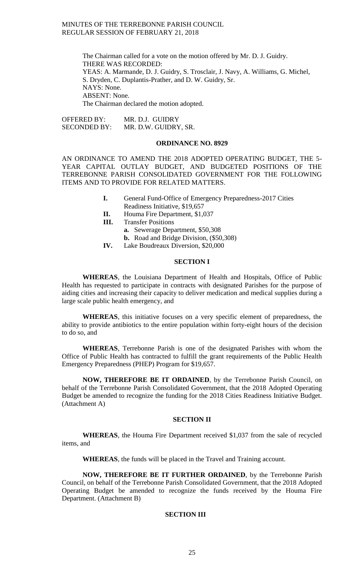The Chairman called for a vote on the motion offered by Mr. D. J. Guidry. THERE WAS RECORDED: YEAS: A. Marmande, D. J. Guidry, S. Trosclair, J. Navy, A. Williams, G. Michel, S. Dryden, C. Duplantis-Prather, and D. W. Guidry, Sr. NAYS: None. ABSENT: None. The Chairman declared the motion adopted.

OFFERED BY: MR. D.J. GUIDRY SECONDED BY: MR. D.W. GUIDRY, SR.

# **ORDINANCE NO. 8929**

AN ORDINANCE TO AMEND THE 2018 ADOPTED OPERATING BUDGET, THE 5- YEAR CAPITAL OUTLAY BUDGET, AND BUDGETED POSITIONS OF THE TERREBONNE PARISH CONSOLIDATED GOVERNMENT FOR THE FOLLOWING ITEMS AND TO PROVIDE FOR RELATED MATTERS.

- **I.** General Fund-Office of Emergency Preparedness-2017 Cities Readiness Initiative, \$19,657
- **II.** Houma Fire Department, \$1,037
- **III.** Transfer Positions
	- **a.** Sewerage Department, \$50,308
	- **b.** Road and Bridge Division, (\$50,308)
- **IV.** Lake Boudreaux Diversion, \$20,000

# **SECTION I**

**WHEREAS**, the Louisiana Department of Health and Hospitals, Office of Public Health has requested to participate in contracts with designated Parishes for the purpose of aiding cities and increasing their capacity to deliver medication and medical supplies during a large scale public health emergency, and

**WHEREAS**, this initiative focuses on a very specific element of preparedness, the ability to provide antibiotics to the entire population within forty-eight hours of the decision to do so, and

**WHEREAS**, Terrebonne Parish is one of the designated Parishes with whom the Office of Public Health has contracted to fulfill the grant requirements of the Public Health Emergency Preparedness (PHEP) Program for \$19,657.

**NOW, THEREFORE BE IT ORDAINED**, by the Terrebonne Parish Council, on behalf of the Terrebonne Parish Consolidated Government, that the 2018 Adopted Operating Budget be amended to recognize the funding for the 2018 Cities Readiness Initiative Budget. (Attachment A)

# **SECTION II**

**WHEREAS**, the Houma Fire Department received \$1,037 from the sale of recycled items, and

**WHEREAS**, the funds will be placed in the Travel and Training account.

**NOW, THEREFORE BE IT FURTHER ORDAINED**, by the Terrebonne Parish Council, on behalf of the Terrebonne Parish Consolidated Government, that the 2018 Adopted Operating Budget be amended to recognize the funds received by the Houma Fire Department. (Attachment B)

# **SECTION III**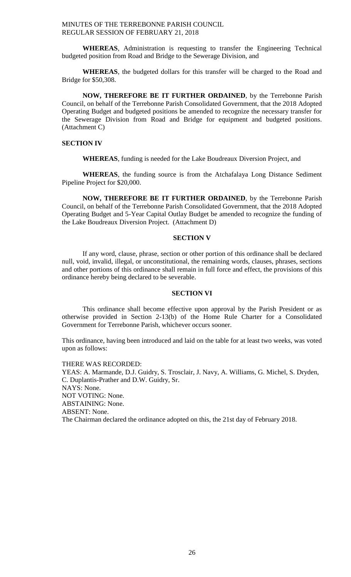**WHEREAS**, Administration is requesting to transfer the Engineering Technical budgeted position from Road and Bridge to the Sewerage Division, and

**WHEREAS**, the budgeted dollars for this transfer will be charged to the Road and Bridge for \$50,308.

**NOW, THEREFORE BE IT FURTHER ORDAINED**, by the Terrebonne Parish Council, on behalf of the Terrebonne Parish Consolidated Government, that the 2018 Adopted Operating Budget and budgeted positions be amended to recognize the necessary transfer for the Sewerage Division from Road and Bridge for equipment and budgeted positions. (Attachment C)

# **SECTION IV**

**WHEREAS**, funding is needed for the Lake Boudreaux Diversion Project, and

**WHEREAS**, the funding source is from the Atchafalaya Long Distance Sediment Pipeline Project for \$20,000.

**NOW, THEREFORE BE IT FURTHER ORDAINED**, by the Terrebonne Parish Council, on behalf of the Terrebonne Parish Consolidated Government, that the 2018 Adopted Operating Budget and 5-Year Capital Outlay Budget be amended to recognize the funding of the Lake Boudreaux Diversion Project. (Attachment D)

# **SECTION V**

If any word, clause, phrase, section or other portion of this ordinance shall be declared null, void, invalid, illegal, or unconstitutional, the remaining words, clauses, phrases, sections and other portions of this ordinance shall remain in full force and effect, the provisions of this ordinance hereby being declared to be severable.

### **SECTION VI**

This ordinance shall become effective upon approval by the Parish President or as otherwise provided in Section 2-13(b) of the Home Rule Charter for a Consolidated Government for Terrebonne Parish, whichever occurs sooner.

This ordinance, having been introduced and laid on the table for at least two weeks, was voted upon as follows:

THERE WAS RECORDED: YEAS: A. Marmande, D.J. Guidry, S. Trosclair, J. Navy, A. Williams, G. Michel, S. Dryden, C. Duplantis-Prather and D.W. Guidry, Sr. NAYS: None. NOT VOTING: None. ABSTAINING: None. ABSENT: None. The Chairman declared the ordinance adopted on this, the 21st day of February 2018.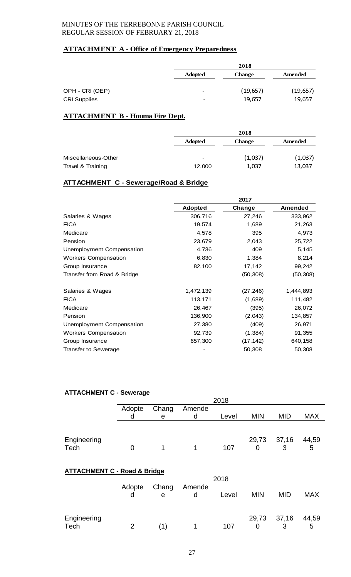# **ATTACHMENT A - Office of Emergency Preparedness**

|                                        |                               | 2018                |                     |
|----------------------------------------|-------------------------------|---------------------|---------------------|
|                                        | <b>Adopted</b>                | <b>Change</b>       | Amended             |
| OPH - CRI (OEP)<br><b>CRI Supplies</b> | $\overline{\phantom{0}}$<br>- | (19, 657)<br>19,657 | (19, 657)<br>19,657 |

# **ATTACHMENT B - Houma Fire Dept.**

|                     |                          | 2018          |         |
|---------------------|--------------------------|---------------|---------|
|                     | <b>Adopted</b>           | <b>Change</b> | Amended |
|                     |                          |               |         |
| Miscellaneous-Other | $\overline{\phantom{a}}$ | (1,037)       | (1,037) |
| Travel & Training   | 12,000                   | 1,037         | 13,037  |

# **ATTACHMENT C - Sewerage/Road & Bridge**

|                             |                | 2017      |                |
|-----------------------------|----------------|-----------|----------------|
|                             | <b>Adopted</b> | Change    | <b>Amended</b> |
| Salaries & Wages            | 306,716        | 27,246    | 333,962        |
| <b>FICA</b>                 | 19,574         | 1,689     | 21,263         |
| Medicare                    | 4,578          | 395       | 4,973          |
| Pension                     | 23,679         | 2,043     | 25,722         |
| Unemployment Compensation   | 4,736          | 409       | 5,145          |
| <b>Workers Compensation</b> | 6,830          | 1,384     | 8,214          |
| Group Insurance             | 82,100         | 17,142    | 99,242         |
| Transfer from Road & Bridge |                | (50, 308) | (50, 308)      |
| Salaries & Wages            | 1,472,139      | (27, 246) | 1,444,893      |
| <b>FICA</b>                 | 113,171        | (1,689)   | 111,482        |
| Medicare                    | 26,467         | (395)     | 26,072         |
| Pension                     | 136,900        | (2,043)   | 134,857        |
| Unemployment Compensation   | 27,380         | (409)     | 26,971         |
| <b>Workers Compensation</b> | 92,739         | (1, 384)  | 91,355         |
| Group Insurance             | 657,300        | (17, 142) | 640,158        |
| <b>Transfer to Sewerage</b> |                | 50,308    | 50,308         |

# **ATTACHMENT C - Sewerage**

| .                   |        | --------<br>2018 |   |       |            |            |            |
|---------------------|--------|------------------|---|-------|------------|------------|------------|
|                     | Adopte | Chang<br>Amende  |   |       |            |            |            |
|                     |        | е                | d | Level | <b>MIN</b> | <b>MID</b> | <b>MAX</b> |
|                     |        |                  |   |       |            |            |            |
| Engineering<br>Tech |        |                  |   | 107   | 29,73      | 37,16<br>3 | 44,59<br>5 |
|                     |        |                  |   |       |            |            |            |

# **ATTACHMENT C - Road & Bridge**

|             |        | 2018            |  |       |            |             |            |
|-------------|--------|-----------------|--|-------|------------|-------------|------------|
|             | Adopte | Chang<br>Amende |  |       |            |             |            |
|             |        | е               |  | Level | <b>MIN</b> | <b>MID</b>  | <b>MAX</b> |
|             |        |                 |  |       |            |             |            |
|             |        |                 |  |       |            |             |            |
| Engineering |        |                 |  |       |            | 29,73 37,16 | 44,59      |
| Tech        |        | (1)             |  | 107   |            | 3           | 5          |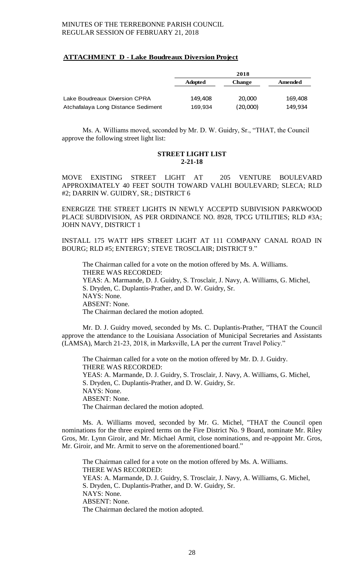# **ATTACHMENT D - Lake Boudreaux Diversion Project**

|                                    | 2018           |               |         |
|------------------------------------|----------------|---------------|---------|
|                                    | <b>Adopted</b> | <b>Change</b> | Amended |
|                                    |                |               |         |
| Lake Boudreaux Diversion CPRA      | 149.408        | 20,000        | 169.408 |
| Atchafalaya Long Distance Sediment | 169,934        | (20,000)      | 149.934 |

Ms. A. Williams moved, seconded by Mr. D. W. Guidry, Sr., "THAT, the Council approve the following street light list:

# **STREET LIGHT LIST 2-21-18**

MOVE EXISTING STREET LIGHT AT 205 VENTURE BOULEVARD APPROXIMATELY 40 FEET SOUTH TOWARD VALHI BOULEVARD; SLECA; RLD #2; DARRIN W. GUIDRY, SR.; DISTRICT 6

ENERGIZE THE STREET LIGHTS IN NEWLY ACCEPTD SUBIVISION PARKWOOD PLACE SUBDIVISION, AS PER ORDINANCE NO. 8928, TPCG UTILITIES; RLD #3A; JOHN NAVY, DISTRICT 1

INSTALL 175 WATT HPS STREET LIGHT AT 111 COMPANY CANAL ROAD IN BOURG; RLD #5; ENTERGY; STEVE TROSCLAIR; DISTRICT 9."

The Chairman called for a vote on the motion offered by Ms. A. Williams. THERE WAS RECORDED: YEAS: A. Marmande, D. J. Guidry, S. Trosclair, J. Navy, A. Williams, G. Michel, S. Dryden, C. Duplantis-Prather, and D. W. Guidry, Sr. NAYS: None. ABSENT: None. The Chairman declared the motion adopted.

Mr. D. J. Guidry moved, seconded by Ms. C. Duplantis-Prather, "THAT the Council approve the attendance to the Louisiana Association of Municipal Secretaries and Assistants (LAMSA), March 21-23, 2018, in Marksville, LA per the current Travel Policy."

The Chairman called for a vote on the motion offered by Mr. D. J. Guidry. THERE WAS RECORDED: YEAS: A. Marmande, D. J. Guidry, S. Trosclair, J. Navy, A. Williams, G. Michel, S. Dryden, C. Duplantis-Prather, and D. W. Guidry, Sr. NAYS: None. ABSENT: None. The Chairman declared the motion adopted.

Ms. A. Williams moved, seconded by Mr. G. Michel, "THAT the Council open nominations for the three expired terms on the Fire District No. 9 Board, nominate Mr. Riley Gros, Mr. Lynn Giroir, and Mr. Michael Armit, close nominations, and re-appoint Mr. Gros, Mr. Giroir, and Mr. Armit to serve on the aforementioned board."

The Chairman called for a vote on the motion offered by Ms. A. Williams. THERE WAS RECORDED: YEAS: A. Marmande, D. J. Guidry, S. Trosclair, J. Navy, A. Williams, G. Michel, S. Dryden, C. Duplantis-Prather, and D. W. Guidry, Sr. NAYS: None. ABSENT: None. The Chairman declared the motion adopted.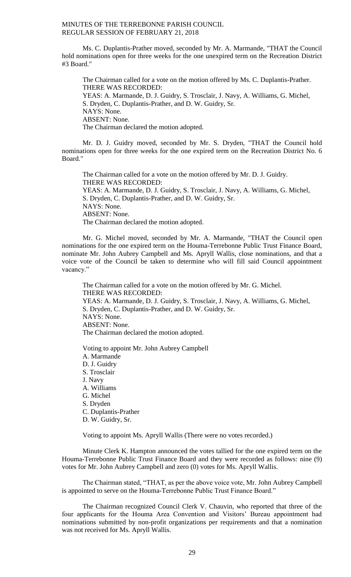Ms. C. Duplantis-Prather moved, seconded by Mr. A. Marmande, "THAT the Council hold nominations open for three weeks for the one unexpired term on the Recreation District #3 Board."

The Chairman called for a vote on the motion offered by Ms. C. Duplantis-Prather. THERE WAS RECORDED: YEAS: A. Marmande, D. J. Guidry, S. Trosclair, J. Navy, A. Williams, G. Michel, S. Dryden, C. Duplantis-Prather, and D. W. Guidry, Sr. NAYS: None. ABSENT: None. The Chairman declared the motion adopted.

Mr. D. J. Guidry moved, seconded by Mr. S. Dryden, "THAT the Council hold nominations open for three weeks for the one expired term on the Recreation District No. 6 Board."

The Chairman called for a vote on the motion offered by Mr. D. J. Guidry. THERE WAS RECORDED: YEAS: A. Marmande, D. J. Guidry, S. Trosclair, J. Navy, A. Williams, G. Michel, S. Dryden, C. Duplantis-Prather, and D. W. Guidry, Sr. NAYS: None. ABSENT: None. The Chairman declared the motion adopted.

Mr. G. Michel moved, seconded by Mr. A. Marmande, "THAT the Council open nominations for the one expired term on the Houma-Terrebonne Public Trust Finance Board, nominate Mr. John Aubrey Campbell and Ms. Apryll Wallis, close nominations, and that a voice vote of the Council be taken to determine who will fill said Council appointment vacancy."

The Chairman called for a vote on the motion offered by Mr. G. Michel. THERE WAS RECORDED: YEAS: A. Marmande, D. J. Guidry, S. Trosclair, J. Navy, A. Williams, G. Michel, S. Dryden, C. Duplantis-Prather, and D. W. Guidry, Sr. NAYS: None. ABSENT: None. The Chairman declared the motion adopted.

Voting to appoint Mr. John Aubrey Campbell A. Marmande D. J. Guidry S. Trosclair J. Navy A. Williams G. Michel S. Dryden C. Duplantis-Prather D. W. Guidry, Sr.

Voting to appoint Ms. Apryll Wallis (There were no votes recorded.)

Minute Clerk K. Hampton announced the votes tallied for the one expired term on the Houma-Terrebonne Public Trust Finance Board and they were recorded as follows: nine (9) votes for Mr. John Aubrey Campbell and zero (0) votes for Ms. Apryll Wallis.

The Chairman stated, "THAT, as per the above voice vote, Mr. John Aubrey Campbell is appointed to serve on the Houma-Terrebonne Public Trust Finance Board."

The Chairman recognized Council Clerk V. Chauvin, who reported that three of the four applicants for the Houma Area Convention and Visitors' Bureau appointment had nominations submitted by non-profit organizations per requirements and that a nomination was not received for Ms. Apryll Wallis.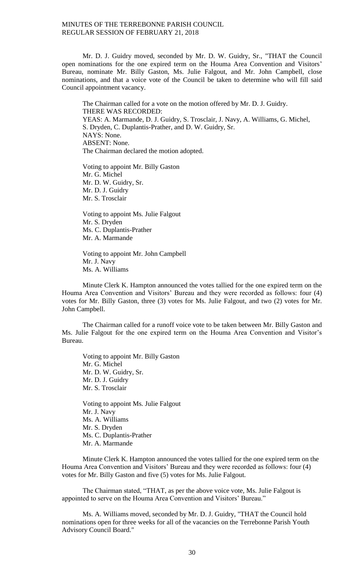Mr. D. J. Guidry moved, seconded by Mr. D. W. Guidry, Sr., "THAT the Council open nominations for the one expired term on the Houma Area Convention and Visitors' Bureau, nominate Mr. Billy Gaston, Ms. Julie Falgout, and Mr. John Campbell, close nominations, and that a voice vote of the Council be taken to determine who will fill said Council appointment vacancy.

The Chairman called for a vote on the motion offered by Mr. D. J. Guidry. THERE WAS RECORDED: YEAS: A. Marmande, D. J. Guidry, S. Trosclair, J. Navy, A. Williams, G. Michel, S. Dryden, C. Duplantis-Prather, and D. W. Guidry, Sr. NAYS: None. ABSENT: None. The Chairman declared the motion adopted.

Voting to appoint Mr. Billy Gaston Mr. G. Michel Mr. D. W. Guidry, Sr. Mr. D. J. Guidry Mr. S. Trosclair

Voting to appoint Ms. Julie Falgout Mr. S. Dryden Ms. C. Duplantis-Prather Mr. A. Marmande

Voting to appoint Mr. John Campbell Mr. J. Navy Ms. A. Williams

Minute Clerk K. Hampton announced the votes tallied for the one expired term on the Houma Area Convention and Visitors' Bureau and they were recorded as follows: four (4) votes for Mr. Billy Gaston, three (3) votes for Ms. Julie Falgout, and two (2) votes for Mr. John Campbell.

The Chairman called for a runoff voice vote to be taken between Mr. Billy Gaston and Ms. Julie Falgout for the one expired term on the Houma Area Convention and Visitor's Bureau.

Voting to appoint Mr. Billy Gaston Mr. G. Michel Mr. D. W. Guidry, Sr. Mr. D. J. Guidry Mr. S. Trosclair

Voting to appoint Ms. Julie Falgout Mr. J. Navy Ms. A. Williams Mr. S. Dryden Ms. C. Duplantis-Prather Mr. A. Marmande

Minute Clerk K. Hampton announced the votes tallied for the one expired term on the Houma Area Convention and Visitors' Bureau and they were recorded as follows: four (4) votes for Mr. Billy Gaston and five (5) votes for Ms. Julie Falgout.

The Chairman stated, "THAT, as per the above voice vote, Ms. Julie Falgout is appointed to serve on the Houma Area Convention and Visitors' Bureau."

Ms. A. Williams moved, seconded by Mr. D. J. Guidry, "THAT the Council hold nominations open for three weeks for all of the vacancies on the Terrebonne Parish Youth Advisory Council Board."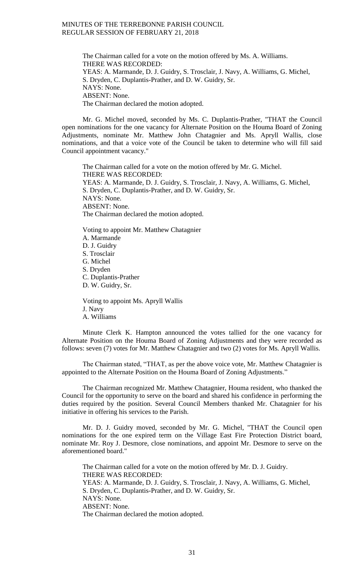The Chairman called for a vote on the motion offered by Ms. A. Williams. THERE WAS RECORDED: YEAS: A. Marmande, D. J. Guidry, S. Trosclair, J. Navy, A. Williams, G. Michel, S. Dryden, C. Duplantis-Prather, and D. W. Guidry, Sr. NAYS: None. ABSENT: None. The Chairman declared the motion adopted.

Mr. G. Michel moved, seconded by Ms. C. Duplantis-Prather, "THAT the Council open nominations for the one vacancy for Alternate Position on the Houma Board of Zoning Adjustments, nominate Mr. Matthew John Chatagnier and Ms. Apryll Wallis, close nominations, and that a voice vote of the Council be taken to determine who will fill said Council appointment vacancy."

The Chairman called for a vote on the motion offered by Mr. G. Michel. THERE WAS RECORDED: YEAS: A. Marmande, D. J. Guidry, S. Trosclair, J. Navy, A. Williams, G. Michel, S. Dryden, C. Duplantis-Prather, and D. W. Guidry, Sr. NAYS: None. ABSENT: None. The Chairman declared the motion adopted.

Voting to appoint Mr. Matthew Chatagnier A. Marmande D. J. Guidry S. Trosclair G. Michel S. Dryden C. Duplantis-Prather D. W. Guidry, Sr.

Voting to appoint Ms. Apryll Wallis J. Navy A. Williams

Minute Clerk K. Hampton announced the votes tallied for the one vacancy for Alternate Position on the Houma Board of Zoning Adjustments and they were recorded as follows: seven (7) votes for Mr. Matthew Chatagnier and two (2) votes for Ms. Apryll Wallis.

The Chairman stated, "THAT, as per the above voice vote, Mr. Matthew Chatagnier is appointed to the Alternate Position on the Houma Board of Zoning Adjustments."

The Chairman recognized Mr. Matthew Chatagnier, Houma resident, who thanked the Council for the opportunity to serve on the board and shared his confidence in performing the duties required by the position. Several Council Members thanked Mr. Chatagnier for his initiative in offering his services to the Parish.

Mr. D. J. Guidry moved, seconded by Mr. G. Michel, "THAT the Council open nominations for the one expired term on the Village East Fire Protection District board, nominate Mr. Roy J. Desmore, close nominations, and appoint Mr. Desmore to serve on the aforementioned board."

The Chairman called for a vote on the motion offered by Mr. D. J. Guidry. THERE WAS RECORDED: YEAS: A. Marmande, D. J. Guidry, S. Trosclair, J. Navy, A. Williams, G. Michel, S. Dryden, C. Duplantis-Prather, and D. W. Guidry, Sr. NAYS: None. ABSENT: None. The Chairman declared the motion adopted.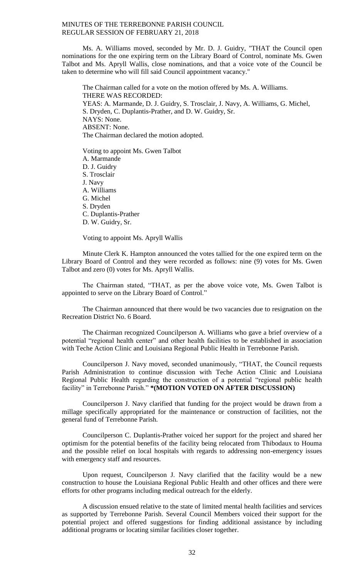Ms. A. Williams moved, seconded by Mr. D. J. Guidry, "THAT the Council open nominations for the one expiring term on the Library Board of Control, nominate Ms. Gwen Talbot and Ms. Apryll Wallis, close nominations, and that a voice vote of the Council be taken to determine who will fill said Council appointment vacancy."

The Chairman called for a vote on the motion offered by Ms. A. Williams. THERE WAS RECORDED: YEAS: A. Marmande, D. J. Guidry, S. Trosclair, J. Navy, A. Williams, G. Michel, S. Dryden, C. Duplantis-Prather, and D. W. Guidry, Sr. NAYS: None. ABSENT: None. The Chairman declared the motion adopted.

Voting to appoint Ms. Gwen Talbot A. Marmande D. J. Guidry S. Trosclair J. Navy A. Williams G. Michel S. Dryden C. Duplantis-Prather D. W. Guidry, Sr.

Voting to appoint Ms. Apryll Wallis

Minute Clerk K. Hampton announced the votes tallied for the one expired term on the Library Board of Control and they were recorded as follows: nine (9) votes for Ms. Gwen Talbot and zero (0) votes for Ms. Apryll Wallis.

The Chairman stated, "THAT, as per the above voice vote, Ms. Gwen Talbot is appointed to serve on the Library Board of Control."

The Chairman announced that there would be two vacancies due to resignation on the Recreation District No. 6 Board.

The Chairman recognized Councilperson A. Williams who gave a brief overview of a potential "regional health center" and other health facilities to be established in association with Teche Action Clinic and Louisiana Regional Public Health in Terrebonne Parish.

Councilperson J. Navy moved, seconded unanimously, "THAT, the Council requests Parish Administration to continue discussion with Teche Action Clinic and Louisiana Regional Public Health regarding the construction of a potential "regional public health facility" in Terrebonne Parish." **\*(MOTION VOTED ON AFTER DISCUSSION)**

Councilperson J. Navy clarified that funding for the project would be drawn from a millage specifically appropriated for the maintenance or construction of facilities, not the general fund of Terrebonne Parish.

Councilperson C. Duplantis-Prather voiced her support for the project and shared her optimism for the potential benefits of the facility being relocated from Thibodaux to Houma and the possible relief on local hospitals with regards to addressing non-emergency issues with emergency staff and resources.

Upon request, Councilperson J. Navy clarified that the facility would be a new construction to house the Louisiana Regional Public Health and other offices and there were efforts for other programs including medical outreach for the elderly.

A discussion ensued relative to the state of limited mental health facilities and services as supported by Terrebonne Parish. Several Council Members voiced their support for the potential project and offered suggestions for finding additional assistance by including additional programs or locating similar facilities closer together.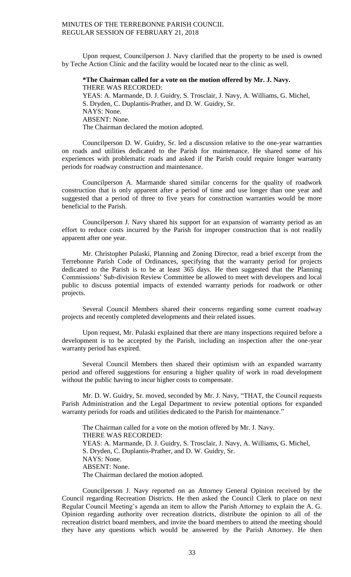Upon request, Councilperson J. Navy clarified that the property to be used is owned by Teche Action Clinic and the facility would be located near to the clinic as well.

**\*The Chairman called for a vote on the motion offered by Mr. J. Navy.** THERE WAS RECORDED: YEAS: A. Marmande, D. J. Guidry, S. Trosclair, J. Navy, A. Williams, G. Michel, S. Dryden, C. Duplantis-Prather, and D. W. Guidry, Sr. NAYS: None. ABSENT: None. The Chairman declared the motion adopted.

Councilperson D. W. Guidry, Sr. led a discussion relative to the one-year warranties on roads and utilities dedicated to the Parish for maintenance. He shared some of his experiences with problematic roads and asked if the Parish could require longer warranty periods for roadway construction and maintenance.

Councilperson A. Marmande shared similar concerns for the quality of roadwork construction that is only apparent after a period of time and use longer than one year and suggested that a period of three to five years for construction warranties would be more beneficial to the Parish.

Councilperson J. Navy shared his support for an expansion of warranty period as an effort to reduce costs incurred by the Parish for improper construction that is not readily apparent after one year.

Mr. Christopher Pulaski, Planning and Zoning Director, read a brief excerpt from the Terrebonne Parish Code of Ordinances, specifying that the warranty period for projects dedicated to the Parish is to be at least 365 days. He then suggested that the Planning Commissions' Sub-division Review Committee be allowed to meet with developers and local public to discuss potential impacts of extended warranty periods for roadwork or other projects.

Several Council Members shared their concerns regarding some current roadway projects and recently completed developments and their related issues.

Upon request, Mr. Pulaski explained that there are many inspections required before a development is to be accepted by the Parish, including an inspection after the one-year warranty period has expired.

Several Council Members then shared their optimism with an expanded warranty period and offered suggestions for ensuring a higher quality of work in road development without the public having to incur higher costs to compensate.

Mr. D. W. Guidry, Sr. moved, seconded by Mr. J. Navy, "THAT, the Council requests Parish Administration and the Legal Department to review potential options for expanded warranty periods for roads and utilities dedicated to the Parish for maintenance."

The Chairman called for a vote on the motion offered by Mr. J. Navy. THERE WAS RECORDED: YEAS: A. Marmande, D. J. Guidry, S. Trosclair, J. Navy, A. Williams, G. Michel, S. Dryden, C. Duplantis-Prather, and D. W. Guidry, Sr. NAYS: None. ABSENT: None. The Chairman declared the motion adopted.

Councilperson J. Navy reported on an Attorney General Opinion received by the Council regarding Recreation Districts. He then asked the Council Clerk to place on next Regular Council Meeting's agenda an item to allow the Parish Attorney to explain the A. G. Opinion regarding authority over recreation districts, distribute the opinion to all of the recreation district board members, and invite the board members to attend the meeting should they have any questions which would be answered by the Parish Attorney. He then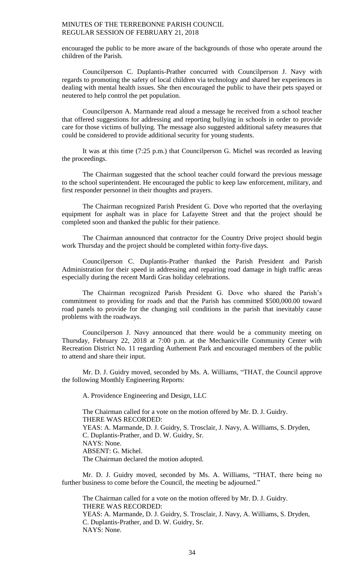encouraged the public to be more aware of the backgrounds of those who operate around the children of the Parish.

Councilperson C. Duplantis-Prather concurred with Councilperson J. Navy with regards to promoting the safety of local children via technology and shared her experiences in dealing with mental health issues. She then encouraged the public to have their pets spayed or neutered to help control the pet population.

Councilperson A. Marmande read aloud a message he received from a school teacher that offered suggestions for addressing and reporting bullying in schools in order to provide care for those victims of bullying. The message also suggested additional safety measures that could be considered to provide additional security for young students.

It was at this time (7:25 p.m.) that Councilperson G. Michel was recorded as leaving the proceedings.

The Chairman suggested that the school teacher could forward the previous message to the school superintendent. He encouraged the public to keep law enforcement, military, and first responder personnel in their thoughts and prayers.

The Chairman recognized Parish President G. Dove who reported that the overlaying equipment for asphalt was in place for Lafayette Street and that the project should be completed soon and thanked the public for their patience.

The Chairman announced that contractor for the Country Drive project should begin work Thursday and the project should be completed within forty-five days.

Councilperson C. Duplantis-Prather thanked the Parish President and Parish Administration for their speed in addressing and repairing road damage in high traffic areas especially during the recent Mardi Gras holiday celebrations.

The Chairman recognized Parish President G. Dove who shared the Parish's commitment to providing for roads and that the Parish has committed \$500,000.00 toward road panels to provide for the changing soil conditions in the parish that inevitably cause problems with the roadways.

Councilperson J. Navy announced that there would be a community meeting on Thursday, February 22, 2018 at 7:00 p.m. at the Mechanicville Community Center with Recreation District No. 11 regarding Authement Park and encouraged members of the public to attend and share their input.

Mr. D. J. Guidry moved, seconded by Ms. A. Williams, "THAT, the Council approve the following Monthly Engineering Reports:

A. Providence Engineering and Design, LLC

The Chairman called for a vote on the motion offered by Mr. D. J. Guidry. THERE WAS RECORDED: YEAS: A. Marmande, D. J. Guidry, S. Trosclair, J. Navy, A. Williams, S. Dryden, C. Duplantis-Prather, and D. W. Guidry, Sr. NAYS: None. ABSENT: G. Michel. The Chairman declared the motion adopted.

Mr. D. J. Guidry moved, seconded by Ms. A. Williams, "THAT, there being no further business to come before the Council, the meeting be adjourned."

The Chairman called for a vote on the motion offered by Mr. D. J. Guidry. THERE WAS RECORDED: YEAS: A. Marmande, D. J. Guidry, S. Trosclair, J. Navy, A. Williams, S. Dryden, C. Duplantis-Prather, and D. W. Guidry, Sr. NAYS: None.